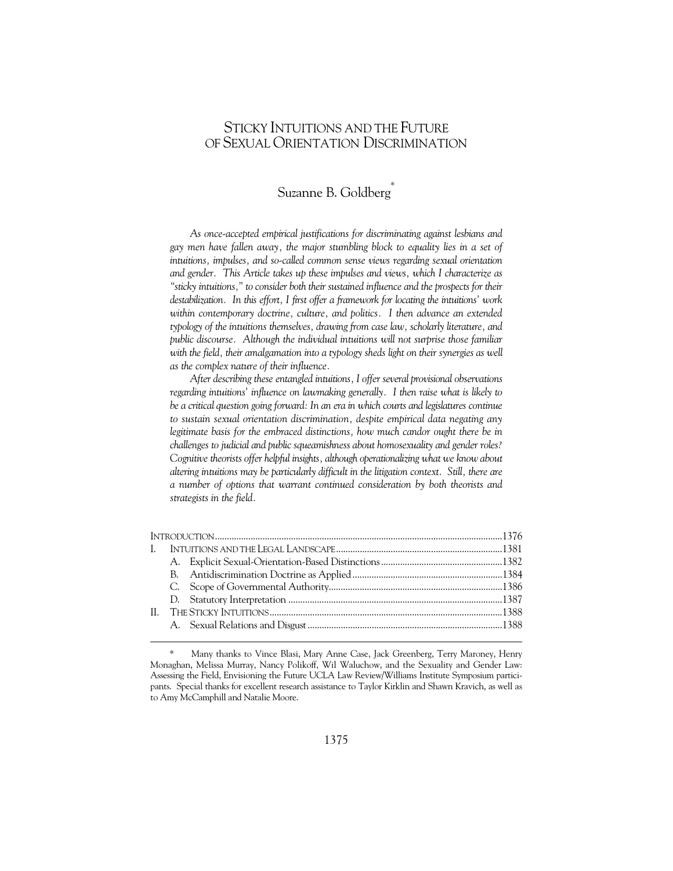# STICKY INTUITIONS AND THE FUTURE OF SEXUAL ORIENTATION DISCRIMINATION

# Suzanne B. Goldberg\*

*As once-accepted empirical justifications for discriminating against lesbians and gay men have fallen away, the major stumbling block to equality lies in a set of intuitions, impulses, and so-called common sense views regarding sexual orientation and gender. This Article takes up these impulses and views, which I characterize as "sticky intuitions," to consider both their sustained influence and the prospects for their destabilization. In this effort, I first offer a framework for locating the intuitions' work within contemporary doctrine, culture, and politics. I then advance an extended typology of the intuitions themselves, drawing from case law, scholarly literature, and public discourse. Although the individual intuitions will not surprise those familiar*  with the field, their amalgamation into a typology sheds light on their synergies as well *as the complex nature of their influence.* 

*After describing these entangled intuitions, I offer several provisional observations regarding intuitions' influence on lawmaking generally. I then raise what is likely to be a critical question going forward: In an era in which courts and legislatures continue to sustain sexual orientation discrimination, despite empirical data negating any legitimate basis for the embraced distinctions, how much candor ought there be in challenges to judicial and public squeamishness about homosexuality and gender roles? Cognitive theorists offer helpful insights, although operationalizing what we know about altering intuitions may be particularly difficult in the litigation context. Still, there are a number of options that warrant continued consideration by both theorists and strategists in the field.* 

Many thanks to Vince Blasi, Mary Anne Case, Jack Greenberg, Terry Maroney, Henry Monaghan, Melissa Murray, Nancy Polikoff, Wil Waluchow, and the Sexuality and Gender Law: Assessing the Field, Envisioning the Future UCLA Law Review/Williams Institute Symposium participants. Special thanks for excellent research assistance to Taylor Kirklin and Shawn Kravich, as well as to Amy McCamphill and Natalie Moore.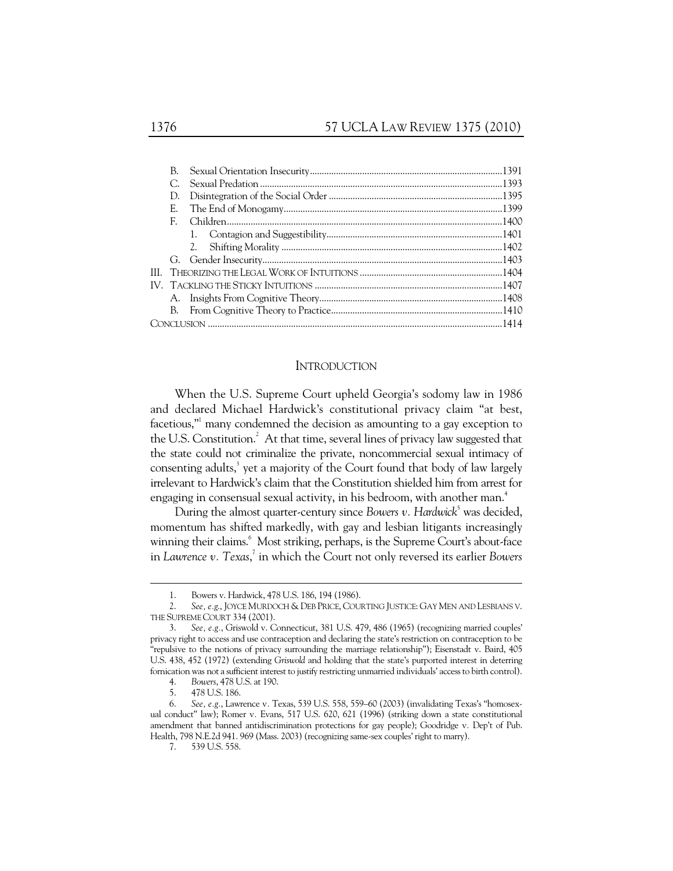| B. |  |
|----|--|
|    |  |
| D. |  |
| E. |  |
| F. |  |
|    |  |
|    |  |
|    |  |
|    |  |
|    |  |
|    |  |
|    |  |
|    |  |

### INTRODUCTION

When the U.S. Supreme Court upheld Georgia's sodomy law in 1986 and declared Michael Hardwick's constitutional privacy claim "at best, facetious,"<sup>1</sup> many condemned the decision as amounting to a gay exception to the U.S. Constitution.<sup>2</sup> At that time, several lines of privacy law suggested that the state could not criminalize the private, noncommercial sexual intimacy of consenting adults,<sup>3</sup> yet a majority of the Court found that body of law largely irrelevant to Hardwick's claim that the Constitution shielded him from arrest for engaging in consensual sexual activity, in his bedroom, with another man.<sup>4</sup>

During the almost quarter-century since Bowers v. Hardwick<sup>5</sup> was decided, momentum has shifted markedly, with gay and lesbian litigants increasingly winning their claims.<sup>6</sup> Most striking, perhaps, is the Supreme Court's about-face in Lawrence v. Texas,<sup>7</sup> in which the Court not only reversed its earlier Bowers

 <sup>1.</sup> Bowers v. Hardwick, 478 U.S. 186, 194 (1986).

 <sup>2.</sup> *See, e.g*., JOYCE MURDOCH & DEB PRICE, COURTING JUSTICE: GAY MEN AND LESBIANS V. THE SUPREME COURT 334 (2001).

 <sup>3.</sup> *See, e.g.*, Griswold v. Connecticut, 381 U.S. 479, 486 (1965) (recognizing married couples' privacy right to access and use contraception and declaring the state's restriction on contraception to be "repulsive to the notions of privacy surrounding the marriage relationship"); Eisenstadt v. Baird, 405 U.S. 438, 452 (1972) (extending *Griswold* and holding that the state's purported interest in deterring fornication was not a sufficient interest to justify restricting unmarried individuals' access to birth control).

 <sup>4.</sup> *Bowers*, 478 U.S. at 190.

 <sup>5. 478</sup> U.S. 186.

 <sup>6.</sup> *See, e.g.*, Lawrence v*.* Texas, 539 U.S. 558, 559–60 (2003) (invalidating Texas's "homosexual conduct" law); Romer v*.* Evans, 517 U.S. 620, 621 (1996) (striking down a state constitutional amendment that banned antidiscrimination protections for gay people); Goodridge v*.* Dep't of Pub. Health, 798 N.E.2d 941. 969 (Mass. 2003) (recognizing same-sex couples' right to marry).

 <sup>7. 539</sup> U.S. 558.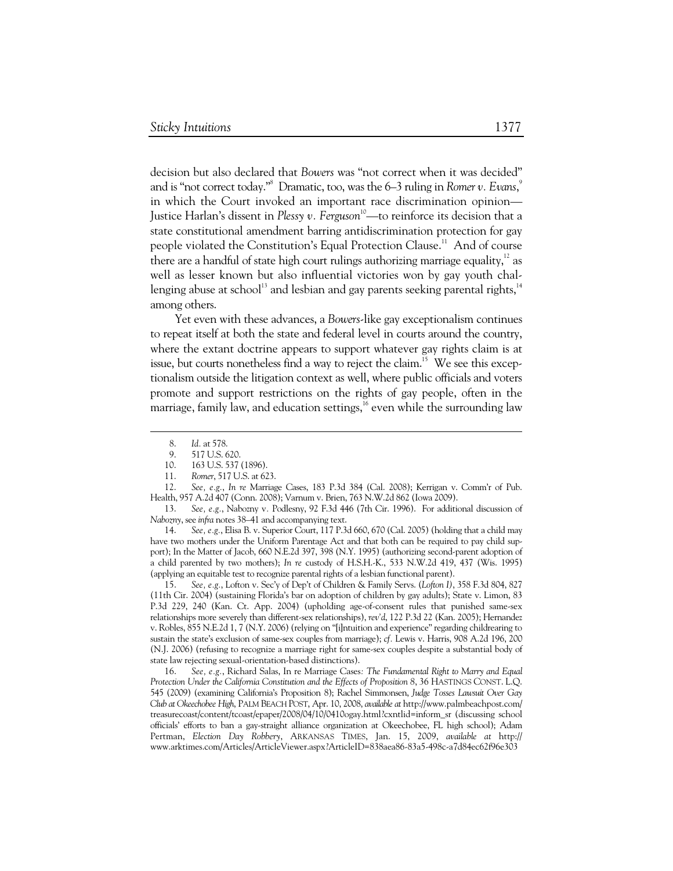decision but also declared that *Bowers* was "not correct when it was decided" and is "not correct today."8 Dramatic, too, was the 6–3 ruling in *Romer v. Evans*, 9 in which the Court invoked an important race discrimination opinion— Justice Harlan's dissent in *Plessy v. Ferguson*<sup>10</sup>—to reinforce its decision that a state constitutional amendment barring antidiscrimination protection for gay people violated the Constitution's Equal Protection Clause.<sup>11</sup> And of course there are a handful of state high court rulings authorizing marriage equality, $12$  as well as lesser known but also influential victories won by gay youth challenging abuse at school<sup>13</sup> and lesbian and gay parents seeking parental rights,<sup>14</sup> among others.

Yet even with these advances, a *Bowers*-like gay exceptionalism continues to repeat itself at both the state and federal level in courts around the country, where the extant doctrine appears to support whatever gay rights claim is at issue, but courts nonetheless find a way to reject the claim.<sup>15</sup> We see this exceptionalism outside the litigation context as well, where public officials and voters promote and support restrictions on the rights of gay people, often in the marriage, family law, and education settings, $16$  even while the surrounding law

163 U.S. 537 (1896).

 12. *See, e.g.*, *In re* Marriage Cases, 183 P.3d 384 (Cal. 2008); Kerrigan v. Comm'r of Pub. Health, 957 A.2d 407 (Conn. 2008); Varnum v. Brien, 763 N.W.2d 862 (Iowa 2009).

 14. *See, e.g.*, Elisa B. v. Superior Court, 117 P.3d 660, 670 (Cal. 2005) (holding that a child may have two mothers under the Uniform Parentage Act and that both can be required to pay child support); In the Matter of Jacob, 660 N.E.2d 397, 398 (N.Y. 1995) (authorizing second-parent adoption of a child parented by two mothers); *In re* custody of H.S.H.-K., 533 N.W.2d 419, 437 (Wis. 1995) (applying an equitable test to recognize parental rights of a lesbian functional parent).

 15. *See, e.g.*, Lofton v. Sec'y of Dep't of Children & Family Servs. (*Lofton I)*, 358 F.3d 804, 827 (11th Cir. 2004) (sustaining Florida's bar on adoption of children by gay adults); State v. Limon, 83 P.3d 229, 240 (Kan. Ct. App. 2004) (upholding age-of-consent rules that punished same-sex relationships more severely than different-sex relationships), *rev'd*, 122 P.3d 22 (Kan. 2005); Hernandez v. Robles, 855 N.E.2d 1, 7 (N.Y. 2006) (relying on "[i]ntuition and experience" regarding childrearing to sustain the state's exclusion of same-sex couples from marriage); *cf.* Lewis v. Harris, 908 A.2d 196, 200 (N.J. 2006) (refusing to recognize a marriage right for same-sex couples despite a substantial body of state law rejecting sexual-orientation-based distinctions).

 16. *See, e.g.*, Richard Salas, In re Marriage Cases*: The Fundamental Right to Marry and Equal Protection Under the California Constitution and the Effects of Proposition 8*, 36 HASTINGS CONST. L.Q. 545 (2009) (examining California's Proposition 8); Rachel Simmonsen, *Judge Tosses Lawsuit Over Gay Club at Okeechobee High*, PALM BEACH POST, Apr. 10, 2008, *available at* http://www.palmbeachpost.com/ treasurecoast/content/tcoast/epaper/2008/04/10/0410ogay.html?cxntlid=inform\_sr (discussing school officials' efforts to ban a gay-straight alliance organization at Okeechobee, FL high school); Adam Pertman, *Election Day Robbery*, ARKANSAS TIMES, Jan. 15, 2009, *available at* http:// www.arktimes.com/Articles/ArticleViewer.aspx?ArticleID=838aea86-83a5-498c-a7d84ec62f96e303

 <sup>8.</sup> *Id.* at 578.

<sup>9. 517</sup> U.S. 620.<br>10. 163 U.S. 537

 <sup>11.</sup> *Romer*, 517 U.S. at 623.

 <sup>13.</sup> *See, e.g.*, Nabozny v*.* Podlesny, 92 F.3d 446 (7th Cir. 1996). For additional discussion of *Nabozny*, see *infra* notes 38–41 and accompanying text.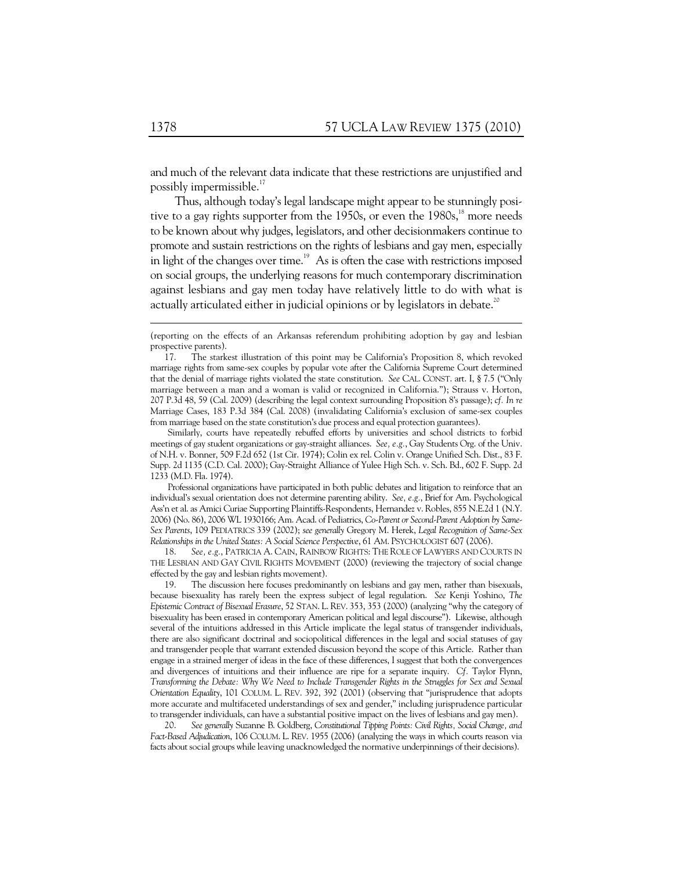and much of the relevant data indicate that these restrictions are unjustified and possibly impermissible.<sup>17</sup>

Thus, although today's legal landscape might appear to be stunningly positive to a gay rights supporter from the 1950s, or even the 1980s, $^{18}$  more needs to be known about why judges, legislators, and other decisionmakers continue to promote and sustain restrictions on the rights of lesbians and gay men, especially in light of the changes over time.<sup>19</sup> As is often the case with restrictions imposed on social groups, the underlying reasons for much contemporary discrimination against lesbians and gay men today have relatively little to do with what is actually articulated either in judicial opinions or by legislators in debate. $^{20}$ 

Similarly, courts have repeatedly rebuffed efforts by universities and school districts to forbid meetings of gay student organizations or gay-straight alliances. *See, e.g.*, Gay Students Org. of the Univ. of N.H. v. Bonner, 509 F.2d 652 (1st Cir. 1974); Colin ex rel. Colin v. Orange Unified Sch. Dist., 83 F. Supp. 2d 1135 (C.D. Cal. 2000); Gay-Straight Alliance of Yulee High Sch. v. Sch. Bd., 602 F. Supp. 2d 1233 (M.D. Fla. 1974).

Professional organizations have participated in both public debates and litigation to reinforce that an individual's sexual orientation does not determine parenting ability. *See, e.g.*, Brief for Am. Psychological Ass'n et al. as Amici Curiae Supporting Plaintiffs-Respondents, Hernandez v. Robles, 855 N.E.2d 1 (N.Y. 2006) (No. 86), 2006 WL 1930166; Am. Acad. of Pediatrics, *Co-Parent or Second-Parent Adoption by Same-Sex Parents*, 109 PEDIATRICS 339 (2002); *see generally* Gregory M. Herek, *Legal Recognition of Same-Sex Relationships in the United States: A Social Science Perspective*, 61 AM. PSYCHOLOGIST 607 (2006).<br>18. See, e.g., PATRICIA A. CAIN, RAINBOW RIGHTS: THE ROLE OF LAWYERS AND CO

See, e.g., PATRICIA A. CAIN, RAINBOW RIGHTS: THE ROLE OF LAWYERS AND COURTS IN THE LESBIAN AND GAY CIVIL RIGHTS MOVEMENT (2000) (reviewing the trajectory of social change effected by the gay and lesbian rights movement).

 19. The discussion here focuses predominantly on lesbians and gay men, rather than bisexuals, because bisexuality has rarely been the express subject of legal regulation. *See* Kenji Yoshino, *The Epistemic Contract of Bisexual Erasure*, 52 STAN. L. REV. 353, 353 (2000) (analyzing "why the category of bisexuality has been erased in contemporary American political and legal discourse"). Likewise, although several of the intuitions addressed in this Article implicate the legal status of transgender individuals, there are also significant doctrinal and sociopolitical differences in the legal and social statuses of gay and transgender people that warrant extended discussion beyond the scope of this Article. Rather than engage in a strained merger of ideas in the face of these differences, I suggest that both the convergences and divergences of intuitions and their influence are ripe for a separate inquiry. *Cf.* Taylor Flynn, *Transforming the Debate: Why We Need to Include Transgender Rights in the Struggles for Sex and Sexual Orientation Equality*, 101 COLUM. L. REV. 392, 392 (2001) (observing that "jurisprudence that adopts more accurate and multifaceted understandings of sex and gender," including jurisprudence particular to transgender individuals, can have a substantial positive impact on the lives of lesbians and gay men).<br>20. See generally Suzanne B. Goldberg, Constitutional Tipping Points: Civil Rights, Social Change, and

 20. *See generally* Suzanne B. Goldberg, *Constitutional Tipping Points: Civil Rights, Social Change, and Fact-Based Adjudication*, 106 COLUM. L. REV. 1955 (2006) (analyzing the ways in which courts reason via facts about social groups while leaving unacknowledged the normative underpinnings of their decisions).

<sup>(</sup>reporting on the effects of an Arkansas referendum prohibiting adoption by gay and lesbian prospective parents).

 <sup>17.</sup> The starkest illustration of this point may be California's Proposition 8, which revoked marriage rights from same-sex couples by popular vote after the California Supreme Court determined that the denial of marriage rights violated the state constitution. *See* CAL. CONST. art. I, § 7.5 ("Only marriage between a man and a woman is valid or recognized in California."); Strauss v. Horton, 207 P.3d 48, 59 (Cal. 2009) (describing the legal context surrounding Proposition 8's passage); *cf. In re* Marriage Cases, 183 P.3d 384 (Cal. 2008) (invalidating California's exclusion of same-sex couples from marriage based on the state constitution's due process and equal protection guarantees).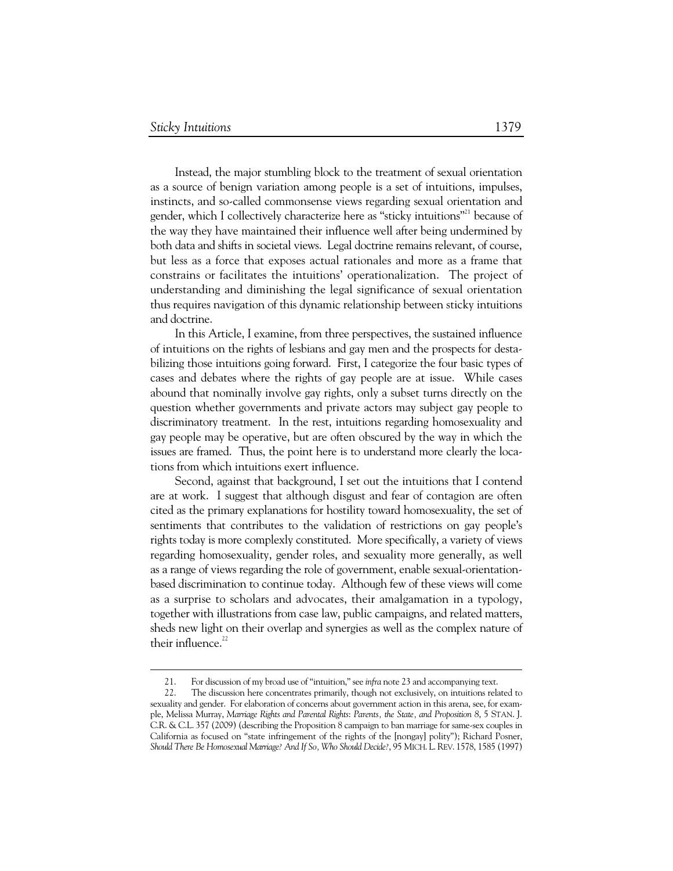Instead, the major stumbling block to the treatment of sexual orientation as a source of benign variation among people is a set of intuitions, impulses, instincts, and so-called commonsense views regarding sexual orientation and gender, which I collectively characterize here as "sticky intuitions"<sup>21</sup> because of the way they have maintained their influence well after being undermined by both data and shifts in societal views. Legal doctrine remains relevant, of course, but less as a force that exposes actual rationales and more as a frame that constrains or facilitates the intuitions' operationalization. The project of understanding and diminishing the legal significance of sexual orientation thus requires navigation of this dynamic relationship between sticky intuitions and doctrine.

In this Article, I examine, from three perspectives, the sustained influence of intuitions on the rights of lesbians and gay men and the prospects for destabilizing those intuitions going forward. First, I categorize the four basic types of cases and debates where the rights of gay people are at issue. While cases abound that nominally involve gay rights, only a subset turns directly on the question whether governments and private actors may subject gay people to discriminatory treatment. In the rest, intuitions regarding homosexuality and gay people may be operative, but are often obscured by the way in which the issues are framed. Thus, the point here is to understand more clearly the locations from which intuitions exert influence.

Second, against that background, I set out the intuitions that I contend are at work. I suggest that although disgust and fear of contagion are often cited as the primary explanations for hostility toward homosexuality, the set of sentiments that contributes to the validation of restrictions on gay people's rights today is more complexly constituted. More specifically, a variety of views regarding homosexuality, gender roles, and sexuality more generally, as well as a range of views regarding the role of government, enable sexual-orientationbased discrimination to continue today. Although few of these views will come as a surprise to scholars and advocates, their amalgamation in a typology, together with illustrations from case law, public campaigns, and related matters, sheds new light on their overlap and synergies as well as the complex nature of their influence. $22$ 

 <sup>21.</sup> For discussion of my broad use of "intuition," see *infra* note 23 and accompanying text.

 <sup>22.</sup> The discussion here concentrates primarily, though not exclusively, on intuitions related to sexuality and gender. For elaboration of concerns about government action in this arena, see, for example, Melissa Murray, *Marriage Rights and Parental Rights*: *Parents, the State, and Proposition 8*, 5 STAN. J. C.R. & C.L. 357 (2009) (describing the Proposition 8 campaign to ban marriage for same-sex couples in California as focused on "state infringement of the rights of the [nongay] polity"); Richard Posner, *Should There Be Homosexual Marriage? And If So, Who Should Decide?*, 95 MICH. L.REV. 1578, 1585 (1997)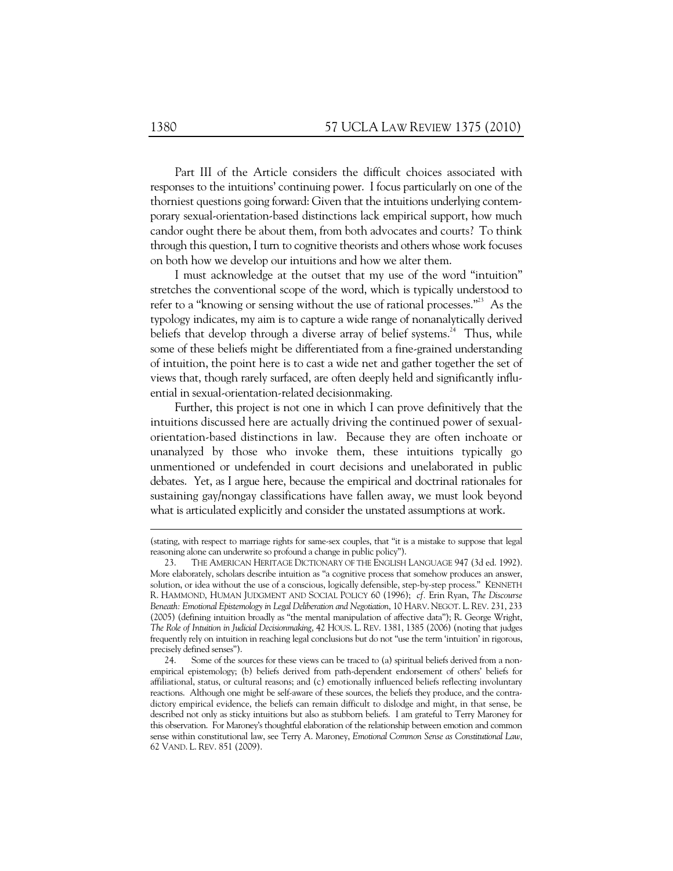Part III of the Article considers the difficult choices associated with responses to the intuitions' continuing power. I focus particularly on one of the thorniest questions going forward: Given that the intuitions underlying contemporary sexual-orientation-based distinctions lack empirical support, how much candor ought there be about them, from both advocates and courts? To think through this question, I turn to cognitive theorists and others whose work focuses on both how we develop our intuitions and how we alter them.

I must acknowledge at the outset that my use of the word "intuition" stretches the conventional scope of the word, which is typically understood to refer to a "knowing or sensing without the use of rational processes."<sup>23</sup> As the typology indicates, my aim is to capture a wide range of nonanalytically derived beliefs that develop through a diverse array of belief systems.<sup>24</sup> Thus, while some of these beliefs might be differentiated from a fine-grained understanding of intuition, the point here is to cast a wide net and gather together the set of views that, though rarely surfaced, are often deeply held and significantly influential in sexual-orientation-related decisionmaking.

Further, this project is not one in which I can prove definitively that the intuitions discussed here are actually driving the continued power of sexualorientation-based distinctions in law. Because they are often inchoate or unanalyzed by those who invoke them, these intuitions typically go unmentioned or undefended in court decisions and unelaborated in public debates. Yet, as I argue here, because the empirical and doctrinal rationales for sustaining gay/nongay classifications have fallen away, we must look beyond what is articulated explicitly and consider the unstated assumptions at work.

<sup>(</sup>stating, with respect to marriage rights for same-sex couples, that "it is a mistake to suppose that legal reasoning alone can underwrite so profound a change in public policy").

THE AMERICAN HERITAGE DICTIONARY OF THE ENGLISH LANGUAGE 947 (3d ed. 1992). More elaborately, scholars describe intuition as "a cognitive process that somehow produces an answer, solution, or idea without the use of a conscious, logically defensible, step-by-step process." KENNETH R. HAMMOND, HUMAN JUDGMENT AND SOCIAL POLICY 60 (1996); *cf.* Erin Ryan, *The Discourse Beneath: Emotional Epistemology in Legal Deliberation and Negotiation*, 10 HARV. NEGOT. L. REV. 231, 233 (2005) (defining intuition broadly as "the mental manipulation of affective data"); R. George Wright, *The Role of Intuition in Judicial Decisionmaking*, 42 HOUS. L. REV. 1381, 1385 (2006) (noting that judges frequently rely on intuition in reaching legal conclusions but do not "use the term 'intuition' in rigorous, precisely defined senses").

 <sup>24.</sup> Some of the sources for these views can be traced to (a) spiritual beliefs derived from a nonempirical epistemology; (b) beliefs derived from path-dependent endorsement of others' beliefs for affiliational, status, or cultural reasons; and (c) emotionally influenced beliefs reflecting involuntary reactions. Although one might be self-aware of these sources, the beliefs they produce, and the contradictory empirical evidence, the beliefs can remain difficult to dislodge and might, in that sense, be described not only as sticky intuitions but also as stubborn beliefs. I am grateful to Terry Maroney for this observation. For Maroney's thoughtful elaboration of the relationship between emotion and common sense within constitutional law, see Terry A. Maroney, *Emotional Common Sense as Constitutional Law*, 62 VAND. L. REV. 851 (2009).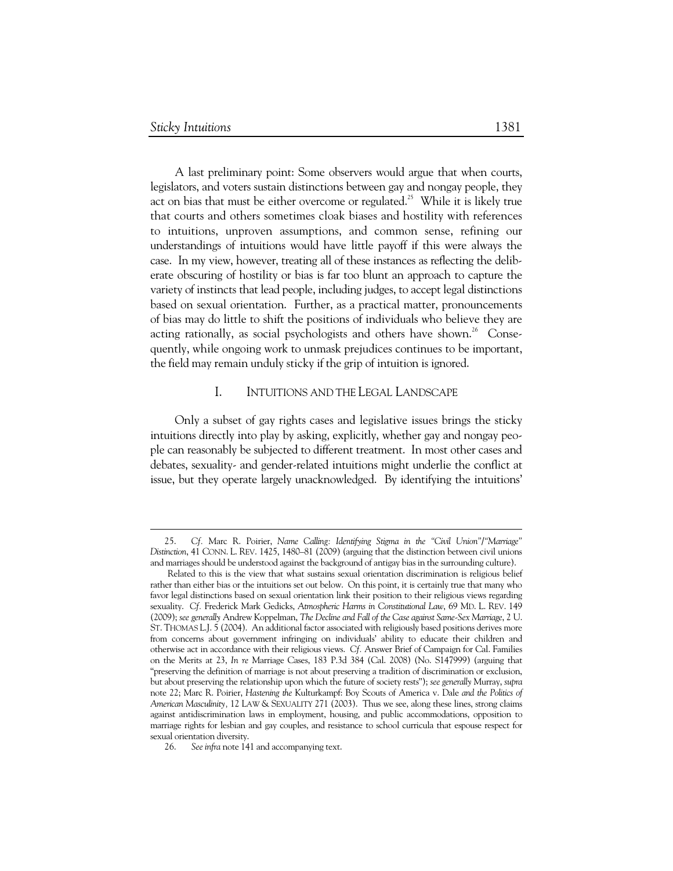-

A last preliminary point: Some observers would argue that when courts, legislators, and voters sustain distinctions between gay and nongay people, they act on bias that must be either overcome or regulated.<sup>25</sup> While it is likely true that courts and others sometimes cloak biases and hostility with references to intuitions, unproven assumptions, and common sense, refining our understandings of intuitions would have little payoff if this were always the case. In my view, however, treating all of these instances as reflecting the deliberate obscuring of hostility or bias is far too blunt an approach to capture the variety of instincts that lead people, including judges, to accept legal distinctions based on sexual orientation. Further, as a practical matter, pronouncements of bias may do little to shift the positions of individuals who believe they are acting rationally, as social psychologists and others have shown.<sup>26</sup> Consequently, while ongoing work to unmask prejudices continues to be important, the field may remain unduly sticky if the grip of intuition is ignored.

### I. INTUITIONS AND THE LEGAL LANDSCAPE

Only a subset of gay rights cases and legislative issues brings the sticky intuitions directly into play by asking, explicitly, whether gay and nongay people can reasonably be subjected to different treatment. In most other cases and debates, sexuality- and gender-related intuitions might underlie the conflict at issue, but they operate largely unacknowledged. By identifying the intuitions'

 <sup>25.</sup> *Cf.* Marc R. Poirier, *Name Calling: Identifying Stigma in the "Civil Union"/"Marriage" Distinction*, 41 CONN. L. REV. 1425, 1480–81 (2009) (arguing that the distinction between civil unions and marriages should be understood against the background of antigay bias in the surrounding culture).

Related to this is the view that what sustains sexual orientation discrimination is religious belief rather than either bias or the intuitions set out below. On this point, it is certainly true that many who favor legal distinctions based on sexual orientation link their position to their religious views regarding sexuality. *Cf.* Frederick Mark Gedicks, *Atmospheric Harms in Constitutional Law*, 69 MD. L. REV. 149 (2009); *see generally* Andrew Koppelman, *The Decline and Fall of the Case against Same-Sex Marriage*, 2 U. ST. THOMAS L.J. 5 (2004). An additional factor associated with religiously based positions derives more from concerns about government infringing on individuals' ability to educate their children and otherwise act in accordance with their religious views. *Cf.* Answer Brief of Campaign for Cal. Families on the Merits at 23, *In re* Marriage Cases, 183 P.3d 384 (Cal. 2008) (No. S147999) (arguing that "preserving the definition of marriage is not about preserving a tradition of discrimination or exclusion, but about preserving the relationship upon which the future of society rests"); *see generally* Murray, *supra*  note 22; Marc R. Poirier, *Hastening the* Kulturkampf: Boy Scouts of America v. Dale *and the Politics of American Masculinity,* 12 LAW & SEXUALITY 271 (2003). Thus we see, along these lines, strong claims against antidiscrimination laws in employment, housing, and public accommodations, opposition to marriage rights for lesbian and gay couples, and resistance to school curricula that espouse respect for sexual orientation diversity.

 <sup>26.</sup> *See infra* note 141 and accompanying text.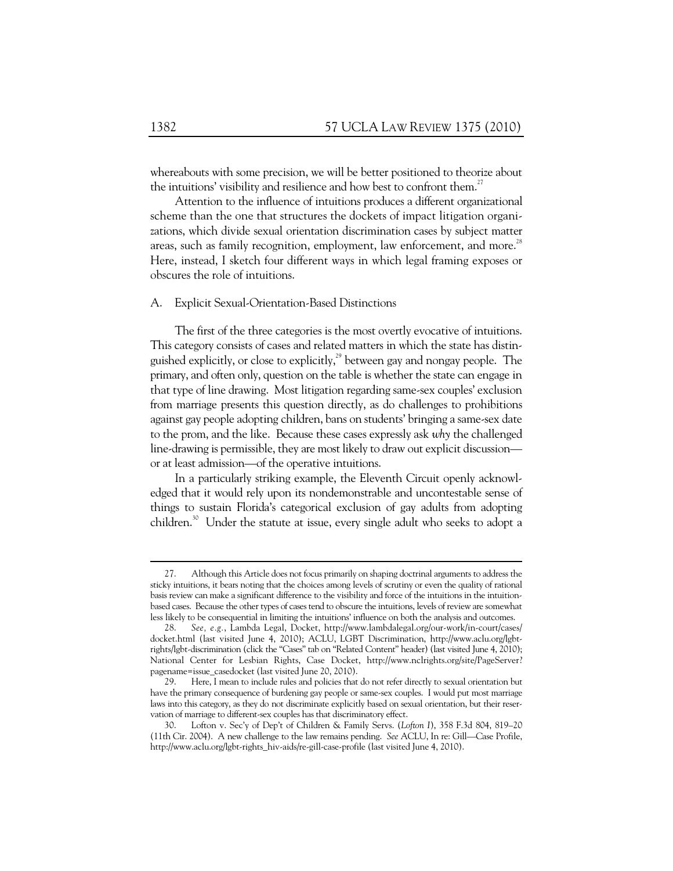whereabouts with some precision, we will be better positioned to theorize about the intuitions' visibility and resilience and how best to confront them.<sup>27</sup>

Attention to the influence of intuitions produces a different organizational scheme than the one that structures the dockets of impact litigation organizations, which divide sexual orientation discrimination cases by subject matter areas, such as family recognition, employment, law enforcement, and more.<sup>28</sup> Here, instead, I sketch four different ways in which legal framing exposes or obscures the role of intuitions.

### A. Explicit Sexual-Orientation-Based Distinctions

The first of the three categories is the most overtly evocative of intuitions. This category consists of cases and related matters in which the state has distinguished explicitly, or close to explicitly, $^{29}$  between gay and nongay people. The primary, and often only, question on the table is whether the state can engage in that type of line drawing. Most litigation regarding same-sex couples' exclusion from marriage presents this question directly, as do challenges to prohibitions against gay people adopting children, bans on students' bringing a same-sex date to the prom, and the like. Because these cases expressly ask *why* the challenged line-drawing is permissible, they are most likely to draw out explicit discussion or at least admission—of the operative intuitions.

In a particularly striking example, the Eleventh Circuit openly acknowledged that it would rely upon its nondemonstrable and uncontestable sense of things to sustain Florida's categorical exclusion of gay adults from adopting children.<sup>30</sup> Under the statute at issue, every single adult who seeks to adopt a

 $\ddot{\phantom{a}}$ 

 <sup>27.</sup> Although this Article does not focus primarily on shaping doctrinal arguments to address the sticky intuitions, it bears noting that the choices among levels of scrutiny or even the quality of rational basis review can make a significant difference to the visibility and force of the intuitions in the intuitionbased cases. Because the other types of cases tend to obscure the intuitions, levels of review are somewhat less likely to be consequential in limiting the intuitions' influence on both the analysis and outcomes.

 <sup>28.</sup> *See, e.g.*, Lambda Legal, Docket, http://www.lambdalegal.org/our-work/in-court/cases/ docket.html (last visited June 4, 2010); ACLU, LGBT Discrimination, http://www.aclu.org/lgbtrights/lgbt-discrimination (click the "Cases" tab on "Related Content" header) (last visited June 4, 2010); National Center for Lesbian Rights, Case Docket, http://www.nclrights.org/site/PageServer? pagename=issue\_casedocket (last visited June 20, 2010).

 <sup>29.</sup> Here, I mean to include rules and policies that do not refer directly to sexual orientation but have the primary consequence of burdening gay people or same-sex couples. I would put most marriage laws into this category, as they do not discriminate explicitly based on sexual orientation, but their reservation of marriage to different-sex couples has that discriminatory effect.

 <sup>30.</sup> Lofton v. Sec'y of Dep't of Children & Family Servs. (*Lofton I*), 358 F.3d 804, 819–20 (11th Cir. 2004). A new challenge to the law remains pending. *See* ACLU, In re: Gill—Case Profile, http://www.aclu.org/lgbt-rights\_hiv-aids/re-gill-case-profile (last visited June 4, 2010).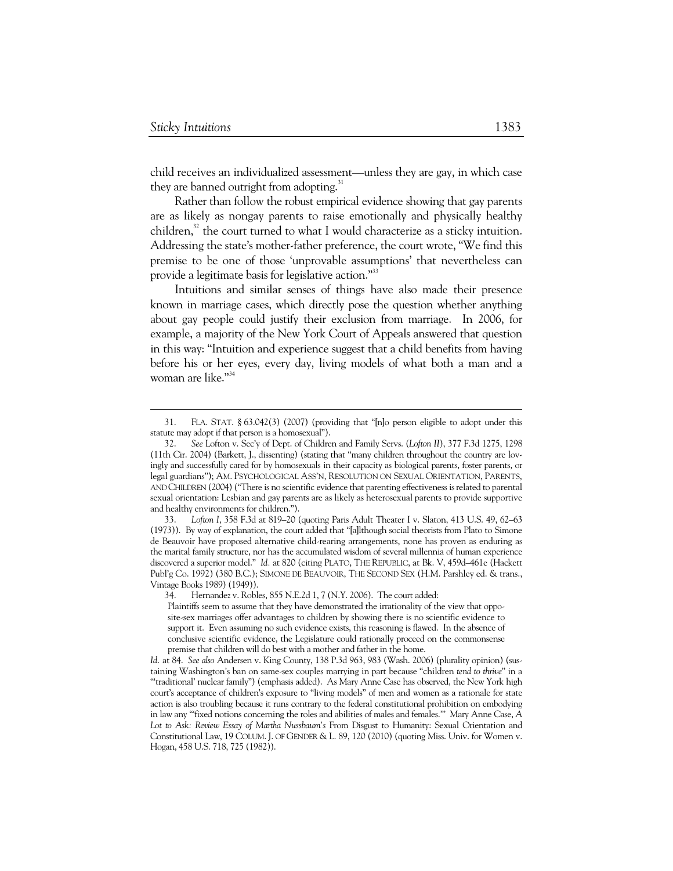-

child receives an individualized assessment—unless they are gay, in which case they are banned outright from adopting.<sup>31</sup>

Rather than follow the robust empirical evidence showing that gay parents are as likely as nongay parents to raise emotionally and physically healthy children, $32$  the court turned to what I would characterize as a sticky intuition. Addressing the state's mother-father preference, the court wrote, "We find this premise to be one of those 'unprovable assumptions' that nevertheless can provide a legitimate basis for legislative action."<sup>33</sup>

Intuitions and similar senses of things have also made their presence known in marriage cases, which directly pose the question whether anything about gay people could justify their exclusion from marriage. In 2006, for example, a majority of the New York Court of Appeals answered that question in this way: "Intuition and experience suggest that a child benefits from having before his or her eyes, every day, living models of what both a man and a woman are like."<sup>34</sup>

 <sup>31.</sup> FLA. STAT. § 63.042(3) (2007) (providing that "[n]o person eligible to adopt under this statute may adopt if that person is a homosexual").

 <sup>32.</sup> *See* Lofton v. Sec'y of Dept. of Children and Family Servs. (*Lofton II*), 377 F.3d 1275, 1298 (11th Cir. 2004) (Barkett, J., dissenting) (stating that "many children throughout the country are lovingly and successfully cared for by homosexuals in their capacity as biological parents, foster parents, or legal guardians"); AM. PSYCHOLOGICAL ASS'N, RESOLUTION ON SEXUAL ORIENTATION, PARENTS, AND CHILDREN (2004) ("There is no scientific evidence that parenting effectiveness is related to parental sexual orientation: Lesbian and gay parents are as likely as heterosexual parents to provide supportive and healthy environments for children.").

 <sup>33.</sup> *Lofton I*, 358 F.3d at 819–20 (quoting Paris Adult Theater I v. Slaton, 413 U.S. 49, 62–63 (1973)). By way of explanation, the court added that "[a]lthough social theorists from Plato to Simone de Beauvoir have proposed alternative child-rearing arrangements, none has proven as enduring as the marital family structure, nor has the accumulated wisdom of several millennia of human experience discovered a superior model." *Id.* at 820 (citing PLATO, THE REPUBLIC, at Bk. V, 459d–461e (Hackett Publ'g Co. 1992) (380 B.C.); SIMONE DE BEAUVOIR, THE SECOND SEX (H.M. Parshley ed. & trans., Vintage Books 1989) (1949)).

Hernandez v. Robles, 855 N.E.2d 1, 7 (N.Y. 2006). The court added:

Plaintiffs seem to assume that they have demonstrated the irrationality of the view that opposite-sex marriages offer advantages to children by showing there is no scientific evidence to support it. Even assuming no such evidence exists, this reasoning is flawed. In the absence of conclusive scientific evidence, the Legislature could rationally proceed on the commonsense premise that children will do best with a mother and father in the home.

*Id.* at 84. *See also* Andersen v. King County, 138 P.3d 963, 983 (Wash. 2006) (plurality opinion) (sustaining Washington's ban on same-sex couples marrying in part because "children *tend to thrive*" in a "'traditional' nuclear family") (emphasis added). As Mary Anne Case has observed, the New York high court's acceptance of children's exposure to "living models" of men and women as a rationale for state action is also troubling because it runs contrary to the federal constitutional prohibition on embodying in law any '"fixed notions concerning the roles and abilities of males and females.'" Mary Anne Case, *A Lot to Ask: Review Essay of Martha Nussbaum's* From Disgust to Humanity: Sexual Orientation and Constitutional Law, 19 COLUM. J. OF GENDER & L. 89, 120 (2010) (quoting Miss. Univ. for Women v. Hogan, 458 U.S. 718, 725 (1982)).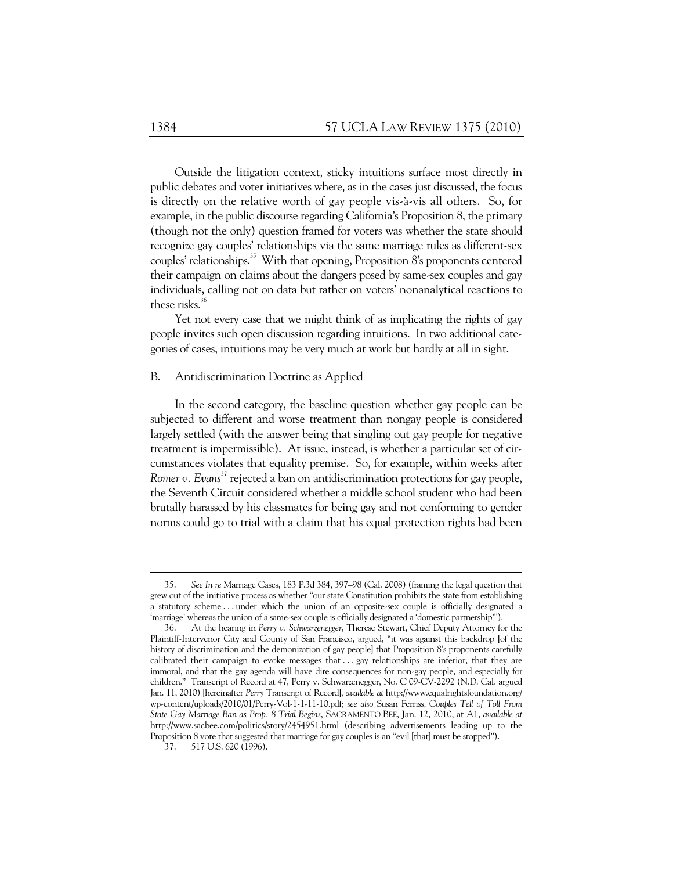Outside the litigation context, sticky intuitions surface most directly in public debates and voter initiatives where, as in the cases just discussed, the focus is directly on the relative worth of gay people vis-à-vis all others. So, for example, in the public discourse regarding California's Proposition 8, the primary (though not the only) question framed for voters was whether the state should recognize gay couples' relationships via the same marriage rules as different-sex couples' relationships.<sup>35</sup> With that opening, Proposition 8's proponents centered their campaign on claims about the dangers posed by same-sex couples and gay individuals, calling not on data but rather on voters' nonanalytical reactions to these risks. $36$ 

Yet not every case that we might think of as implicating the rights of gay people invites such open discussion regarding intuitions. In two additional categories of cases, intuitions may be very much at work but hardly at all in sight.

### B. Antidiscrimination Doctrine as Applied

In the second category, the baseline question whether gay people can be subjected to different and worse treatment than nongay people is considered largely settled (with the answer being that singling out gay people for negative treatment is impermissible). At issue, instead, is whether a particular set of circumstances violates that equality premise. So, for example, within weeks after *Romer v. Evans*<sup>37</sup> rejected a ban on antidiscrimination protections for gay people, the Seventh Circuit considered whether a middle school student who had been brutally harassed by his classmates for being gay and not conforming to gender norms could go to trial with a claim that his equal protection rights had been

 <sup>35.</sup> *See In re* Marriage Cases, 183 P.3d 384, 397–98 (Cal. 2008) (framing the legal question that grew out of the initiative process as whether "our state Constitution prohibits the state from establishing a statutory scheme . . . under which the union of an opposite-sex couple is officially designated a 'marriage' whereas the union of a same-sex couple is officially designated a 'domestic partnership'").

 <sup>36.</sup> At the hearing in *Perry v. Schwarzenegger*, Therese Stewart, Chief Deputy Attorney for the Plaintiff-Intervenor City and County of San Francisco, argued, "it was against this backdrop [of the history of discrimination and the demonization of gay people] that Proposition 8's proponents carefully calibrated their campaign to evoke messages that . . . gay relationships are inferior, that they are immoral, and that the gay agenda will have dire consequences for non-gay people, and especially for children." Transcript of Record at 47, Perry v. Schwarzenegger, No. C 09-CV-2292 (N.D. Cal. argued Jan. 11, 2010) [hereinafter *Perry* Transcript of Record], *available at* http://www.equalrightsfoundation.org/ wp-content/uploads/2010/01/Perry-Vol-1-1-11-10.pdf; *see also* Susan Ferriss, *Couples Tell of Toll From State Gay Marriage Ban as Prop. 8 Trial Begins*, SACRAMENTO BEE, Jan. 12, 2010, at A1, *available at* http://www.sacbee.com/politics/story/2454951.html (describing advertisements leading up to the Proposition 8 vote that suggested that marriage for gay couples is an "evil [that] must be stopped").

 <sup>37. 517</sup> U.S. 620 (1996).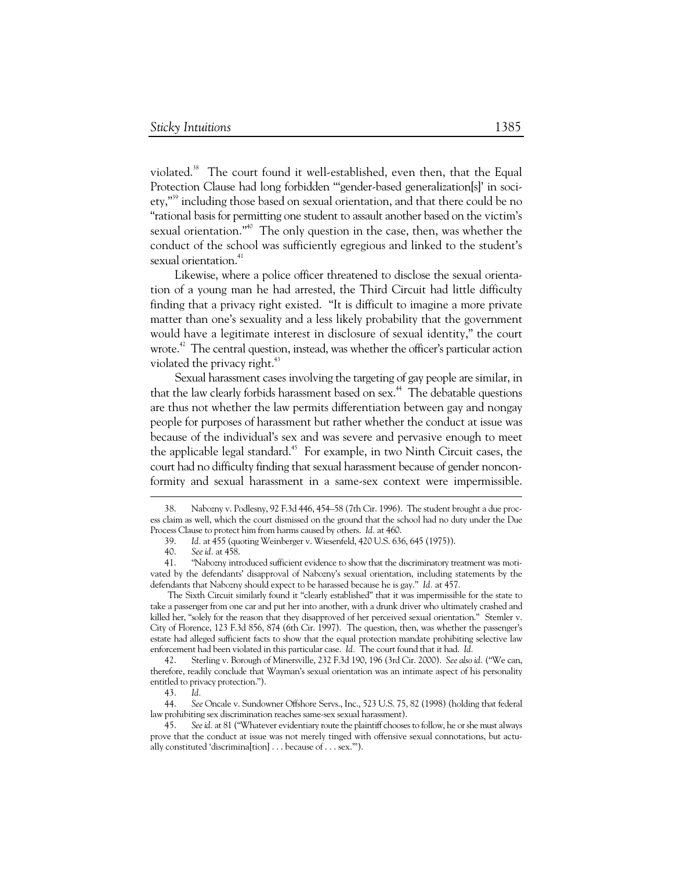violated.<sup>38</sup> The court found it well-established, even then, that the Equal Protection Clause had long forbidden "'gender-based generalization[s]' in society,"<sup>39</sup> including those based on sexual orientation, and that there could be no "rational basis for permitting one student to assault another based on the victim's sexual orientation."<sup>40</sup> The only question in the case, then, was whether the conduct of the school was sufficiently egregious and linked to the student's sexual orientation.<sup>41</sup>

Likewise, where a police officer threatened to disclose the sexual orientation of a young man he had arrested, the Third Circuit had little difficulty finding that a privacy right existed. "It is difficult to imagine a more private matter than one's sexuality and a less likely probability that the government would have a legitimate interest in disclosure of sexual identity," the court wrote.<sup>42</sup> The central question, instead, was whether the officer's particular action violated the privacy right.<sup>43</sup>

Sexual harassment cases involving the targeting of gay people are similar, in that the law clearly forbids harassment based on sex.<sup>44</sup> The debatable questions are thus not whether the law permits differentiation between gay and nongay people for purposes of harassment but rather whether the conduct at issue was because of the individual's sex and was severe and pervasive enough to meet the applicable legal standard.<sup>45</sup> For example, in two Ninth Circuit cases, the court had no difficulty finding that sexual harassment because of gender nonconformity and sexual harassment in a same-sex context were impermissible.

-

The Sixth Circuit similarly found it "clearly established" that it was impermissible for the state to take a passenger from one car and put her into another, with a drunk driver who ultimately crashed and killed her, "solely for the reason that they disapproved of her perceived sexual orientation." Stemler v. City of Florence, 123 F.3d 856, 874 (6th Cir. 1997). The question, then, was whether the passenger's estate had alleged sufficient facts to show that the equal protection mandate prohibiting selective law enforcement had been violated in this particular case. *Id.* The court found that it had. *Id.*

 42. Sterling v. Borough of Minersville, 232 F.3d 190, 196 (3rd Cir. 2000). *See also id.* ("We can, therefore, readily conclude that Wayman's sexual orientation was an intimate aspect of his personality entitled to privacy protection.").

 44. *See* Oncale v. Sundowner Offshore Servs., Inc., 523 U.S. 75, 82 (1998) (holding that federal law prohibiting sex discrimination reaches same-sex sexual harassment).

 <sup>38.</sup> Nabozny v. Podlesny, 92 F.3d 446, 454–58 (7th Cir. 1996). The student brought a due process claim as well, which the court dismissed on the ground that the school had no duty under the Due Process Clause to protect him from harms caused by others. *Id.* at 460.

 <sup>39.</sup> *Id.* at 455 (quoting Weinberger v. Wiesenfeld, 420 U.S. 636, 645 (1975)).

 <sup>40.</sup> *See id.* at 458.

 <sup>41. &</sup>quot;Nabozny introduced sufficient evidence to show that the discriminatory treatment was motivated by the defendants' disapproval of Nabozny's sexual orientation, including statements by the defendants that Nabozny should expect to be harassed because he is gay." *Id.* at 457.

 <sup>43.</sup> *Id.* 

See id. at 81 ("Whatever evidentiary route the plaintiff chooses to follow, he or she must always prove that the conduct at issue was not merely tinged with offensive sexual connotations, but actually constituted 'discrimina[tion] . . . because of . . . sex.'").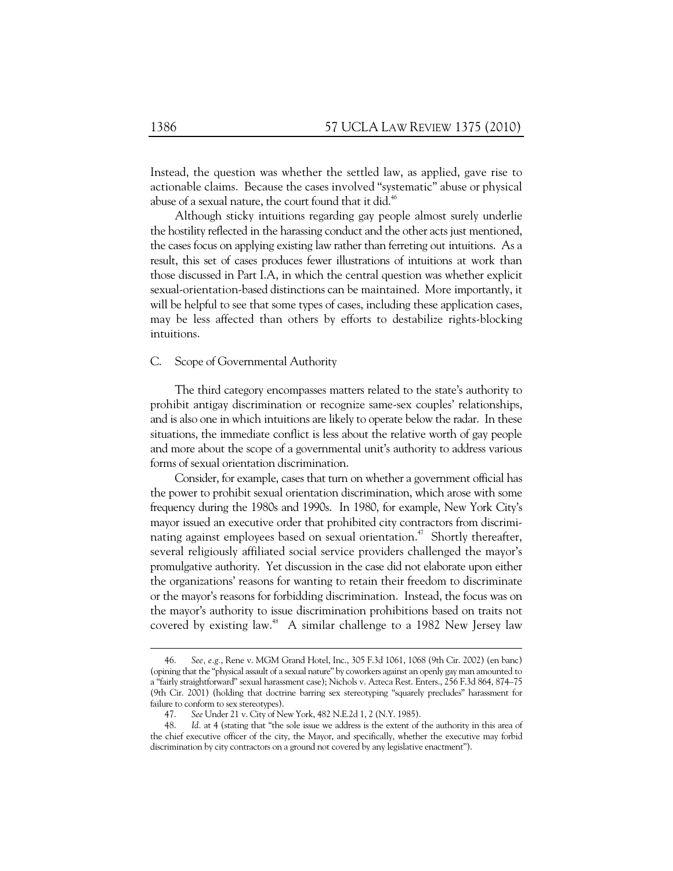Instead, the question was whether the settled law, as applied, gave rise to actionable claims. Because the cases involved "systematic" abuse or physical abuse of a sexual nature, the court found that it did.<sup>46</sup>

Although sticky intuitions regarding gay people almost surely underlie the hostility reflected in the harassing conduct and the other acts just mentioned, the cases focus on applying existing law rather than ferreting out intuitions. As a result, this set of cases produces fewer illustrations of intuitions at work than those discussed in Part I.A, in which the central question was whether explicit sexual-orientation-based distinctions can be maintained. More importantly, it will be helpful to see that some types of cases, including these application cases, may be less affected than others by efforts to destabilize rights-blocking intuitions.

### C. Scope of Governmental Authority

The third category encompasses matters related to the state's authority to prohibit antigay discrimination or recognize same-sex couples' relationships, and is also one in which intuitions are likely to operate below the radar. In these situations, the immediate conflict is less about the relative worth of gay people and more about the scope of a governmental unit's authority to address various forms of sexual orientation discrimination.

Consider, for example, cases that turn on whether a government official has the power to prohibit sexual orientation discrimination, which arose with some frequency during the 1980s and 1990s. In 1980, for example, New York City's mayor issued an executive order that prohibited city contractors from discriminating against employees based on sexual orientation.<sup>47</sup> Shortly thereafter, several religiously affiliated social service providers challenged the mayor's promulgative authority. Yet discussion in the case did not elaborate upon either the organizations' reasons for wanting to retain their freedom to discriminate or the mayor's reasons for forbidding discrimination. Instead, the focus was on the mayor's authority to issue discrimination prohibitions based on traits not covered by existing law.<sup>48</sup> A similar challenge to a 1982 New Jersey law

 <sup>46.</sup> *See, e.g.*, Rene v. MGM Grand Hotel, Inc., 305 F.3d 1061, 1068 (9th Cir. 2002) (en banc) (opining that the "physical assault of a sexual nature" by coworkers against an openly gay man amounted to a "fairly straightforward" sexual harassment case); Nichols v. Azteca Rest. Enters., 256 F.3d 864, 874–75 (9th Cir. 2001) (holding that doctrine barring sex stereotyping "squarely precludes" harassment for failure to conform to sex stereotypes).

 <sup>47.</sup> *See* Under 21 v. City of New York, 482 N.E.2d 1, 2 (N.Y. 1985).

 <sup>48.</sup> *Id.* at 4 (stating that "the sole issue we address is the extent of the authority in this area of the chief executive officer of the city, the Mayor, and specifically, whether the executive may forbid discrimination by city contractors on a ground not covered by any legislative enactment").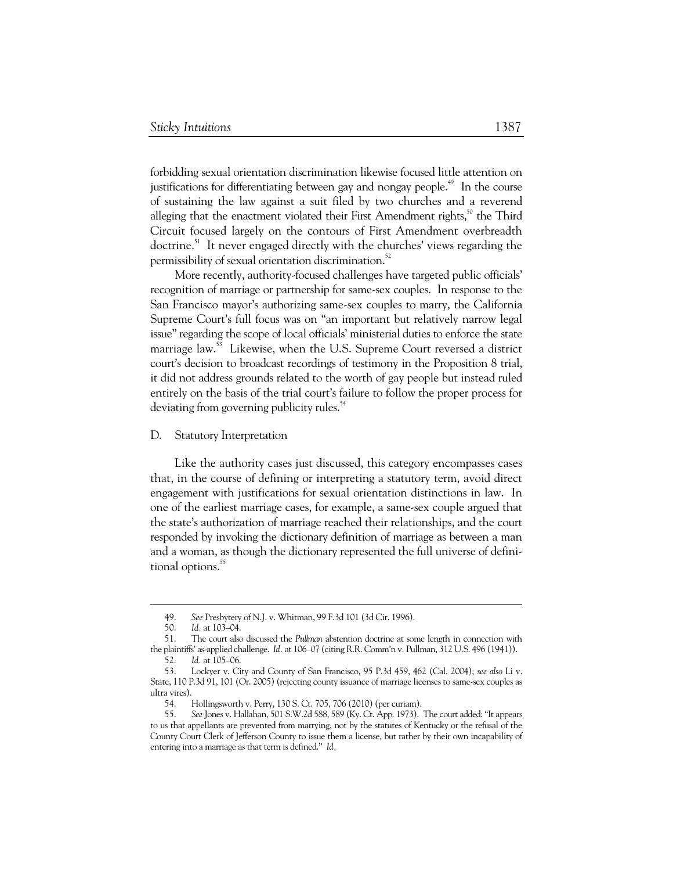forbidding sexual orientation discrimination likewise focused little attention on justifications for differentiating between gay and nongay people.<sup> $49$ </sup> In the course of sustaining the law against a suit filed by two churches and a reverend alleging that the enactment violated their First Amendment rights, $5^{\circ}$  the Third Circuit focused largely on the contours of First Amendment overbreadth doctrine.<sup>51</sup> It never engaged directly with the churches' views regarding the permissibility of sexual orientation discrimination.<sup>52</sup>

More recently, authority-focused challenges have targeted public officials' recognition of marriage or partnership for same-sex couples. In response to the San Francisco mayor's authorizing same-sex couples to marry, the California Supreme Court's full focus was on "an important but relatively narrow legal issue" regarding the scope of local officials' ministerial duties to enforce the state marriage law.<sup>53</sup> Likewise, when the U.S. Supreme Court reversed a district court's decision to broadcast recordings of testimony in the Proposition 8 trial, it did not address grounds related to the worth of gay people but instead ruled entirely on the basis of the trial court's failure to follow the proper process for deviating from governing publicity rules.<sup>54</sup>

### D. Statutory Interpretation

Like the authority cases just discussed, this category encompasses cases that, in the course of defining or interpreting a statutory term, avoid direct engagement with justifications for sexual orientation distinctions in law. In one of the earliest marriage cases, for example, a same-sex couple argued that the state's authorization of marriage reached their relationships, and the court responded by invoking the dictionary definition of marriage as between a man and a woman, as though the dictionary represented the full universe of definitional options.<sup>55</sup>

 $\ddot{\phantom{a}}$ 

 <sup>49.</sup> *See* Presbytery of N.J. v. Whitman, 99 F.3d 101 (3d Cir. 1996).

 <sup>50.</sup> *Id.* at 103–04.

 <sup>51.</sup> The court also discussed the *Pullman* abstention doctrine at some length in connection with the plaintiffs' as-applied challenge. *Id.* at 106–07 (citing R.R. Comm'n v. Pullman, 312 U.S. 496 (1941)).

 <sup>52.</sup> *Id.* at 105–06.

 <sup>53.</sup> Lockyer v. City and County of San Francisco, 95 P.3d 459, 462 (Cal. 2004); *see also* Li v. State, 110 P.3d 91, 101 (Or. 2005) (rejecting county issuance of marriage licenses to same-sex couples as ultra vires).

 <sup>54.</sup> Hollingsworth v. Perry, 130 S. Ct. 705, 706 (2010) (per curiam).

 <sup>55.</sup> *See* Jones v. Hallahan, 501 S.W.2d 588, 589 (Ky. Ct. App. 1973). The court added: "It appears to us that appellants are prevented from marrying, not by the statutes of Kentucky or the refusal of the County Court Clerk of Jefferson County to issue them a license, but rather by their own incapability of entering into a marriage as that term is defined." *Id.*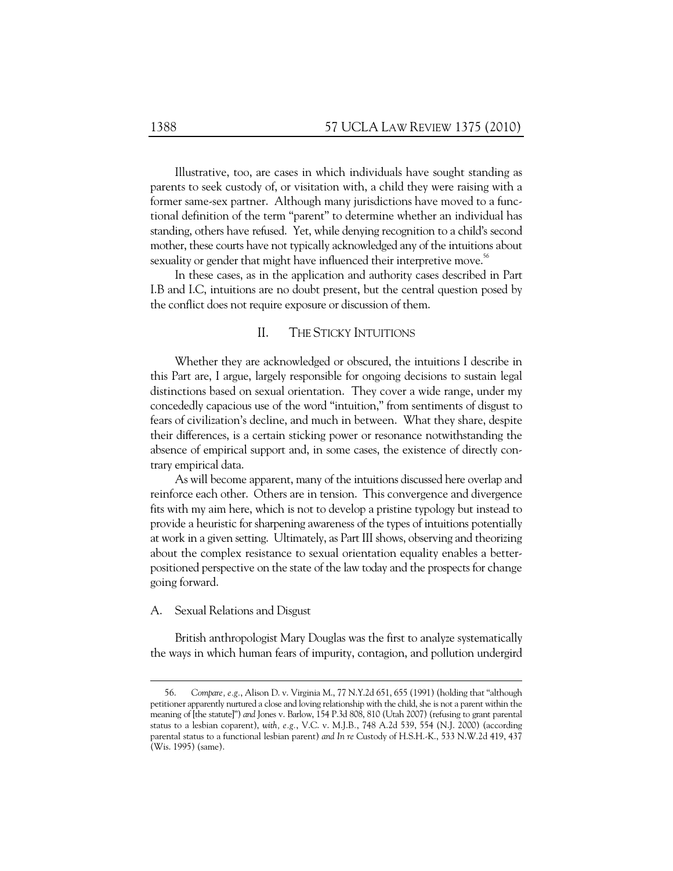Illustrative, too, are cases in which individuals have sought standing as parents to seek custody of, or visitation with, a child they were raising with a former same-sex partner. Although many jurisdictions have moved to a functional definition of the term "parent" to determine whether an individual has standing, others have refused. Yet, while denying recognition to a child's second mother, these courts have not typically acknowledged any of the intuitions about sexuality or gender that might have influenced their interpretive move.<sup>56</sup>

In these cases, as in the application and authority cases described in Part I.B and I.C, intuitions are no doubt present, but the central question posed by the conflict does not require exposure or discussion of them.

## II. THE STICKY INTUITIONS

Whether they are acknowledged or obscured, the intuitions I describe in this Part are, I argue, largely responsible for ongoing decisions to sustain legal distinctions based on sexual orientation. They cover a wide range, under my concededly capacious use of the word "intuition," from sentiments of disgust to fears of civilization's decline, and much in between. What they share, despite their differences, is a certain sticking power or resonance notwithstanding the absence of empirical support and, in some cases, the existence of directly contrary empirical data.

As will become apparent, many of the intuitions discussed here overlap and reinforce each other. Others are in tension. This convergence and divergence fits with my aim here, which is not to develop a pristine typology but instead to provide a heuristic for sharpening awareness of the types of intuitions potentially at work in a given setting. Ultimately, as Part III shows, observing and theorizing about the complex resistance to sexual orientation equality enables a betterpositioned perspective on the state of the law today and the prospects for change going forward.

### A. Sexual Relations and Disgust

 $\ddot{\phantom{a}}$ 

British anthropologist Mary Douglas was the first to analyze systematically the ways in which human fears of impurity, contagion, and pollution undergird

 <sup>56.</sup> *Compare, e.g.*, Alison D. v. Virginia M., 77 N.Y.2d 651, 655 (1991) (holding that "although petitioner apparently nurtured a close and loving relationship with the child, she is not a parent within the meaning of [the statute]") *and* Jones v. Barlow, 154 P.3d 808, 810 (Utah 2007) (refusing to grant parental status to a lesbian coparent), *with, e.g.*, V.C. v. M.J.B*.*, 748 A.2d 539, 554 (N.J. 2000) (according parental status to a functional lesbian parent) *and In re* Custody of H.S.H.-K., 533 N.W.2d 419, 437 (Wis. 1995) (same).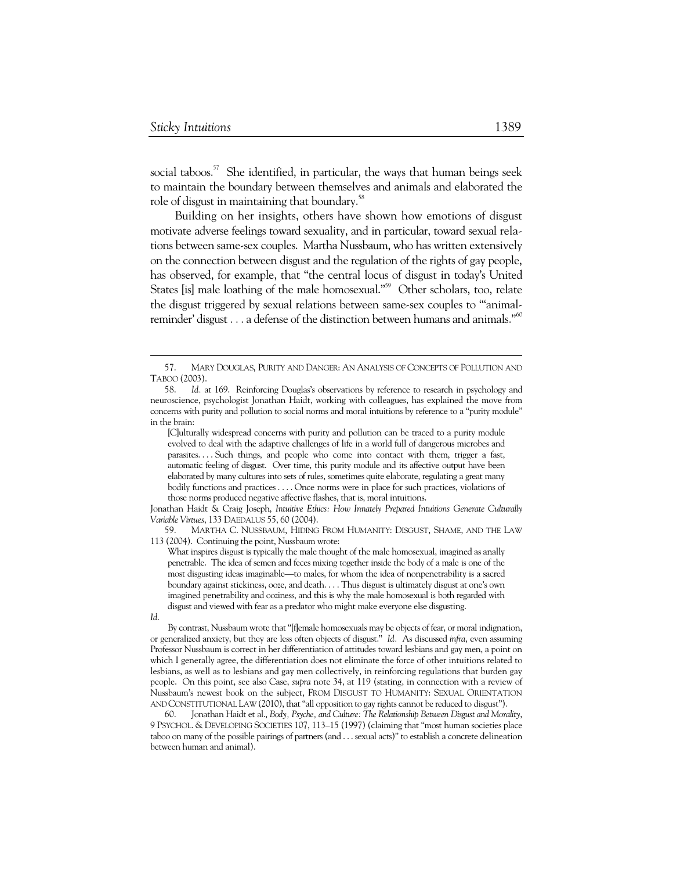social taboos.<sup>57</sup> She identified, in particular, the ways that human beings seek to maintain the boundary between themselves and animals and elaborated the role of disgust in maintaining that boundary.<sup>58</sup>

Building on her insights, others have shown how emotions of disgust motivate adverse feelings toward sexuality, and in particular, toward sexual relations between same-sex couples. Martha Nussbaum, who has written extensively on the connection between disgust and the regulation of the rights of gay people, has observed, for example, that "the central locus of disgust in today's United States [is] male loathing of the male homosexual."<sup>59</sup> Other scholars, too, relate the disgust triggered by sexual relations between same-sex couples to "'animalreminder' disgust . . . a defense of the distinction between humans and animals."<sup>60</sup>

[C]ulturally widespread concerns with purity and pollution can be traced to a purity module evolved to deal with the adaptive challenges of life in a world full of dangerous microbes and parasites. . . . Such things, and people who come into contact with them, trigger a fast, automatic feeling of disgust. Over time, this purity module and its affective output have been elaborated by many cultures into sets of rules, sometimes quite elaborate, regulating a great many bodily functions and practices . . . . Once norms were in place for such practices, violations of those norms produced negative affective flashes, that is, moral intuitions.

Jonathan Haidt & Craig Joseph, *Intuitive Ethics: How Innately Prepared Intuitions Generate Culturally Variable Virtues*, 133 DAEDALUS 55, 60 (2004).

 59. MARTHA C. NUSSBAUM, HIDING FROM HUMANITY: DISGUST, SHAME, AND THE LAW 113 (2004). Continuing the point, Nussbaum wrote:

What inspires disgust is typically the male thought of the male homosexual, imagined as anally penetrable. The idea of semen and feces mixing together inside the body of a male is one of the most disgusting ideas imaginable—to males, for whom the idea of nonpenetrability is a sacred boundary against stickiness, ooze, and death. . . . Thus disgust is ultimately disgust at one's own imagined penetrability and ooziness, and this is why the male homosexual is both regarded with disgust and viewed with fear as a predator who might make everyone else disgusting.

 60. Jonathan Haidt et al., *Body, Psyche, and Culture: The Relationship Between Disgust and Morality*, 9 PSYCHOL. & DEVELOPING SOCIETIES 107, 113–15 (1997) (claiming that "most human societies place taboo on many of the possible pairings of partners (and . . . sexual acts)" to establish a concrete delineation between human and animal).

 <sup>57.</sup> MARY DOUGLAS, PURITY AND DANGER: AN ANALYSIS OF CONCEPTS OF POLLUTION AND TABOO (2003).

 <sup>58.</sup> *Id.* at 169. Reinforcing Douglas's observations by reference to research in psychology and neuroscience, psychologist Jonathan Haidt, working with colleagues, has explained the move from concerns with purity and pollution to social norms and moral intuitions by reference to a "purity module" in the brain:

*Id.*

By contrast, Nussbaum wrote that "[f]emale homosexuals may be objects of fear, or moral indignation, or generalized anxiety, but they are less often objects of disgust." *Id.* As discussed *infra*, even assuming Professor Nussbaum is correct in her differentiation of attitudes toward lesbians and gay men, a point on which I generally agree, the differentiation does not eliminate the force of other intuitions related to lesbians, as well as to lesbians and gay men collectively, in reinforcing regulations that burden gay people. On this point, see also Case, *supra* note 34, at 119 (stating, in connection with a review of Nussbaum's newest book on the subject, FROM DISGUST TO HUMANITY: SEXUAL ORIENTATION AND CONSTITUTIONAL LAW (2010), that "all opposition to gay rights cannot be reduced to disgust").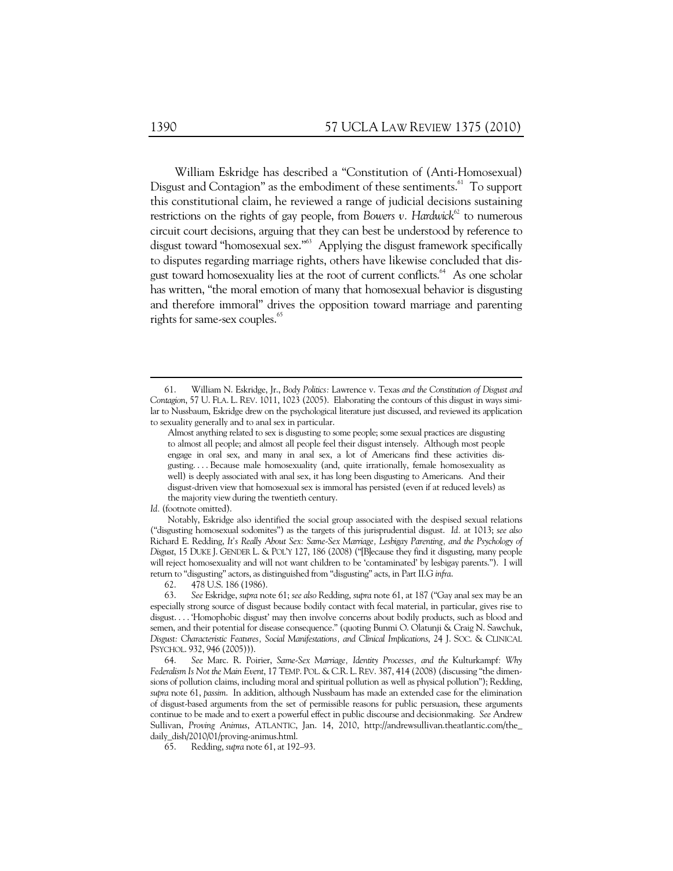William Eskridge has described a "Constitution of (Anti-Homosexual) Disgust and Contagion" as the embodiment of these sentiments.<sup>61</sup> To support this constitutional claim, he reviewed a range of judicial decisions sustaining restrictions on the rights of gay people, from *Bowers v. Hardwick*<sup>62</sup> to numerous circuit court decisions, arguing that they can best be understood by reference to disgust toward "homosexual sex."<sup>63</sup> Applying the disgust framework specifically to disputes regarding marriage rights, others have likewise concluded that disgust toward homosexuality lies at the root of current conflicts.<sup>64</sup> As one scholar has written, "the moral emotion of many that homosexual behavior is disgusting and therefore immoral" drives the opposition toward marriage and parenting rights for same-sex couples.<sup>65</sup>

*Id.* (footnote omitted).

Notably, Eskridge also identified the social group associated with the despised sexual relations ("disgusting homosexual sodomites") as the targets of this jurisprudential disgust. *Id.* at 1013; *see also* Richard E. Redding, *It's Really About Sex: Same-Sex Marriage, Lesbigay Parenting, and the Psychology of Disgust*, 15 DUKE J. GENDER L. & POL'Y 127, 186 (2008) ("[B]ecause they find it disgusting, many people will reject homosexuality and will not want children to be 'contaminated' by lesbigay parents."). I will return to "disgusting" actors, as distinguished from "disgusting" acts, in Part II.G *infra*.

62. 478 U.S. 186 (1986).

 64. *See* Marc. R. Poirier, *Same-Sex Marriage, Identity Processes, and the* Kulturkampf*: Why Federalism Is Not the Main Event*, 17 TEMP. POL. & C.R. L. REV. 387, 414 (2008) (discussing "the dimensions of pollution claims, including moral and spiritual pollution as well as physical pollution"); Redding, *supra* note 61, *passim*. In addition, although Nussbaum has made an extended case for the elimination of disgust-based arguments from the set of permissible reasons for public persuasion, these arguments continue to be made and to exert a powerful effect in public discourse and decisionmaking. *See* Andrew Sullivan, *Proving Animus*, ATLANTIC, Jan. 14, 2010, http://andrewsullivan.theatlantic.com/the\_ daily\_dish/2010/01/proving-animus.html.

65. Redding, *supra* note 61, at 192–93.

 <sup>61.</sup> William N. Eskridge, Jr., *Body Politics:* Lawrence v. Texas *and the Constitution of Disgust and Contagion*, 57 U. FLA. L. REV. 1011, 1023 (2005). Elaborating the contours of this disgust in ways similar to Nussbaum, Eskridge drew on the psychological literature just discussed, and reviewed its application to sexuality generally and to anal sex in particular.

Almost anything related to sex is disgusting to some people; some sexual practices are disgusting to almost all people; and almost all people feel their disgust intensely. Although most people engage in oral sex, and many in anal sex, a lot of Americans find these activities disgusting. . . . Because male homosexuality (and, quite irrationally, female homosexuality as well) is deeply associated with anal sex, it has long been disgusting to Americans. And their disgust-driven view that homosexual sex is immoral has persisted (even if at reduced levels) as the majority view during the twentieth century.

 <sup>63.</sup> *See* Eskridge, *supra* note 61; *see also* Redding, *supra* note 61, at 187 ("Gay anal sex may be an especially strong source of disgust because bodily contact with fecal material, in particular, gives rise to disgust. . . . 'Homophobic disgust' may then involve concerns about bodily products, such as blood and semen, and their potential for disease consequence." (quoting Bunmi O. Olatunji & Craig N. Sawchuk, *Disgust: Characteristic Features, Social Manifestations, and Clinical Implications*, 24 J. SOC. & CLINICAL PSYCHOL. 932, 946 (2005))).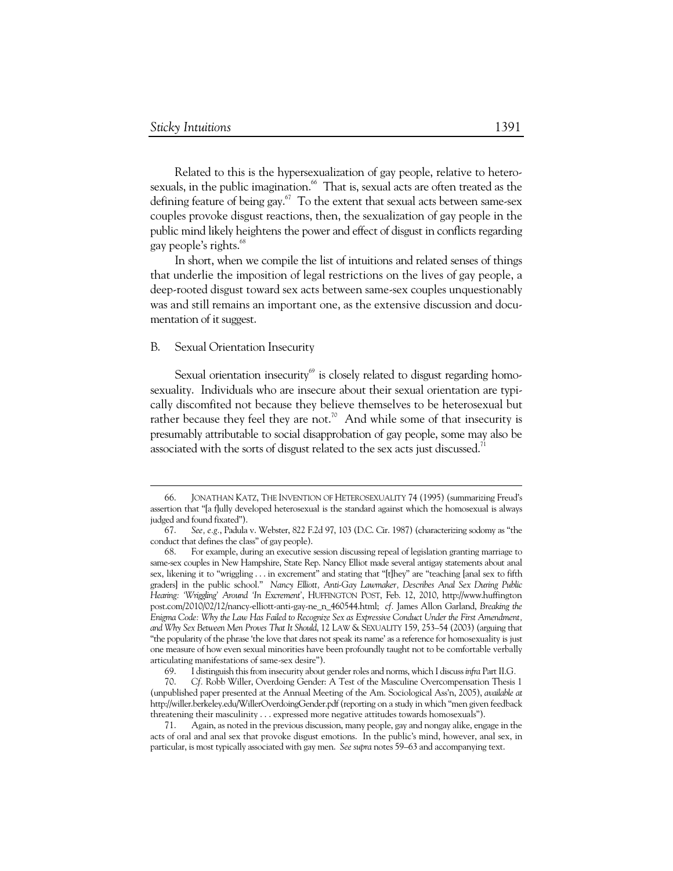Related to this is the hypersexualization of gay people, relative to heterosexuals, in the public imagination.<sup>66</sup> That is, sexual acts are often treated as the defining feature of being gay. $67$  To the extent that sexual acts between same-sex couples provoke disgust reactions, then, the sexualization of gay people in the public mind likely heightens the power and effect of disgust in conflicts regarding gay people's rights.<sup>68</sup>

In short, when we compile the list of intuitions and related senses of things that underlie the imposition of legal restrictions on the lives of gay people, a deep-rooted disgust toward sex acts between same-sex couples unquestionably was and still remains an important one, as the extensive discussion and documentation of it suggest.

#### B. Sexual Orientation Insecurity

 $\ddot{\phantom{a}}$ 

Sexual orientation insecurity<sup>69</sup> is closely related to disgust regarding homosexuality. Individuals who are insecure about their sexual orientation are typically discomfited not because they believe themselves to be heterosexual but rather because they feel they are not.<sup>70</sup> And while some of that insecurity is presumably attributable to social disapprobation of gay people, some may also be associated with the sorts of disgust related to the sex acts just discussed.<sup>71</sup>

 <sup>66.</sup> JONATHAN KATZ, THE INVENTION OF HETEROSEXUALITY 74 (1995) (summarizing Freud's assertion that "[a f]ully developed heterosexual is the standard against which the homosexual is always judged and found fixated").

 <sup>67.</sup> *See, e.g.*, Padula v. Webster, 822 F.2d 97, 103 (D.C. Cir. 1987) (characterizing sodomy as "the conduct that defines the class" of gay people).

 <sup>68.</sup> For example, during an executive session discussing repeal of legislation granting marriage to same-sex couples in New Hampshire, State Rep. Nancy Elliot made several antigay statements about anal sex, likening it to "wriggling . . . in excrement" and stating that "[t]hey" are "teaching [anal sex to fifth graders] in the public school." *Nancy Elliott, Anti-Gay Lawmaker, Describes Anal Sex During Public Hearing: 'Wriggling' Around 'In Excrement'*, HUFFINGTON POST, Feb. 12, 2010, http://www.huffington post.com/2010/02/12/nancy-elliott-anti-gay-ne\_n\_460544.html; *cf.* James Allon Garland, *Breaking the Enigma Code: Why the Law Has Failed to Recognize Sex as Expressive Conduct Under the First Amendment, and Why Sex Between Men Proves That It Should*, 12 LAW & SEXUALITY 159, 253–54 (2003) (arguing that "the popularity of the phrase 'the love that dares not speak its name' as a reference for homosexuality is just one measure of how even sexual minorities have been profoundly taught not to be comfortable verbally articulating manifestations of same-sex desire").

 <sup>69.</sup> I distinguish this from insecurity about gender roles and norms, which I discuss *infra* Part II.G*.* 

 <sup>70.</sup> *Cf.* Robb Willer, Overdoing Gender: A Test of the Masculine Overcompensation Thesis 1 (unpublished paper presented at the Annual Meeting of the Am. Sociological Ass'n, 2005), *available at* http://willer.berkeley.edu/WillerOverdoingGender.pdf (reporting on a study in which "men given feedback threatening their masculinity . . . expressed more negative attitudes towards homosexuals").

 <sup>71.</sup> Again, as noted in the previous discussion, many people, gay and nongay alike, engage in the acts of oral and anal sex that provoke disgust emotions. In the public's mind, however, anal sex, in particular, is most typically associated with gay men. *See supra* notes 59–63 and accompanying text.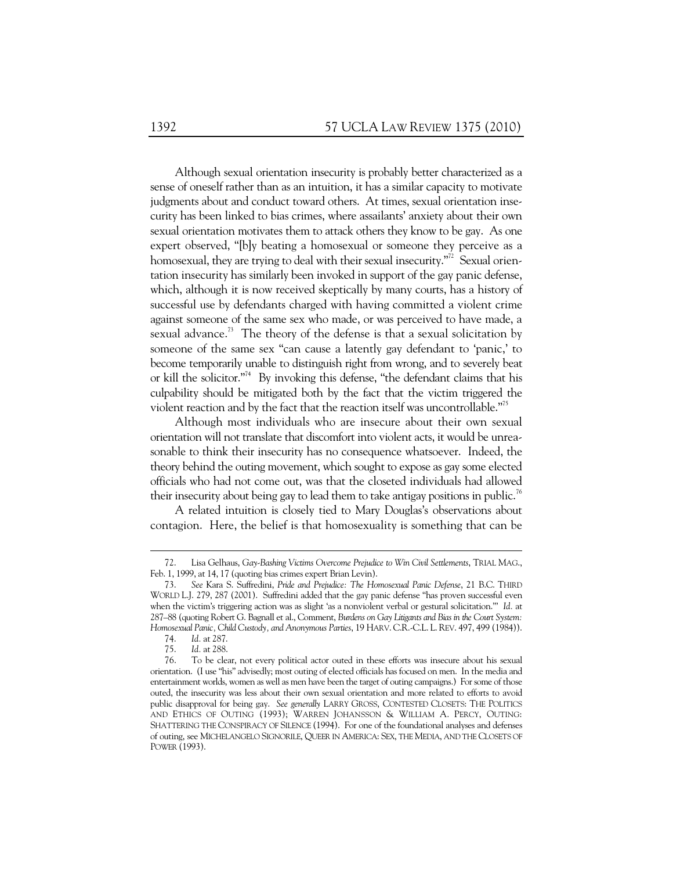Although sexual orientation insecurity is probably better characterized as a sense of oneself rather than as an intuition, it has a similar capacity to motivate judgments about and conduct toward others. At times, sexual orientation insecurity has been linked to bias crimes, where assailants' anxiety about their own sexual orientation motivates them to attack others they know to be gay. As one expert observed, "[b]y beating a homosexual or someone they perceive as a homosexual, they are trying to deal with their sexual insecurity."<sup>72</sup> Sexual orientation insecurity has similarly been invoked in support of the gay panic defense, which, although it is now received skeptically by many courts, has a history of successful use by defendants charged with having committed a violent crime against someone of the same sex who made, or was perceived to have made, a sexual advance.<sup>73</sup> The theory of the defense is that a sexual solicitation by someone of the same sex "can cause a latently gay defendant to 'panic,' to become temporarily unable to distinguish right from wrong, and to severely beat or kill the solicitor."<sup>74</sup> By invoking this defense, "the defendant claims that his culpability should be mitigated both by the fact that the victim triggered the violent reaction and by the fact that the reaction itself was uncontrollable."<sup>55</sup>

Although most individuals who are insecure about their own sexual orientation will not translate that discomfort into violent acts, it would be unreasonable to think their insecurity has no consequence whatsoever. Indeed, the theory behind the outing movement, which sought to expose as gay some elected officials who had not come out, was that the closeted individuals had allowed their insecurity about being gay to lead them to take antigay positions in public.<sup>76</sup>

A related intuition is closely tied to Mary Douglas's observations about contagion. Here, the belief is that homosexuality is something that can be

 <sup>72.</sup> Lisa Gelhaus, *Gay-Bashing Victims Overcome Prejudice to Win Civil Settlements*, TRIAL MAG., Feb. 1, 1999, at 14, 17 (quoting bias crimes expert Brian Levin).

 <sup>73.</sup> *See* Kara S. Suffredini, *Pride and Prejudice: The Homosexual Panic Defense*, 21 B.C. THIRD WORLD L.J. 279, 287 (2001). Suffredini added that the gay panic defense "has proven successful even when the victim's triggering action was as slight 'as a nonviolent verbal or gestural solicitation.'" *Id.* at 287–88 (quoting Robert G. Bagnall et al., Comment, *Burdens on Gay Litigants and Bias in the Court System: Homosexual Panic, Child Custody, and Anonymous Parties*, 19 HARV. C.R.-C.L. L.REV. 497, 499 (1984)).

 <sup>74.</sup> *Id.* at 287.

 <sup>75.</sup> *Id.* at 288.

 <sup>76.</sup> To be clear, not every political actor outed in these efforts was insecure about his sexual orientation. (I use "his" advisedly; most outing of elected officials has focused on men. In the media and entertainment worlds, women as well as men have been the target of outing campaigns.) For some of those outed, the insecurity was less about their own sexual orientation and more related to efforts to avoid public disapproval for being gay. *See generally* LARRY GROSS, CONTESTED CLOSETS: THE POLITICS AND ETHICS OF OUTING (1993); WARREN JOHANSSON & WILLIAM A. PERCY, OUTING: SHATTERING THE CONSPIRACY OF SILENCE (1994). For one of the foundational analyses and defenses of outing, see MICHELANGELO SIGNORILE, QUEER IN AMERICA: SEX, THE MEDIA, AND THE CLOSETS OF POWER (1993).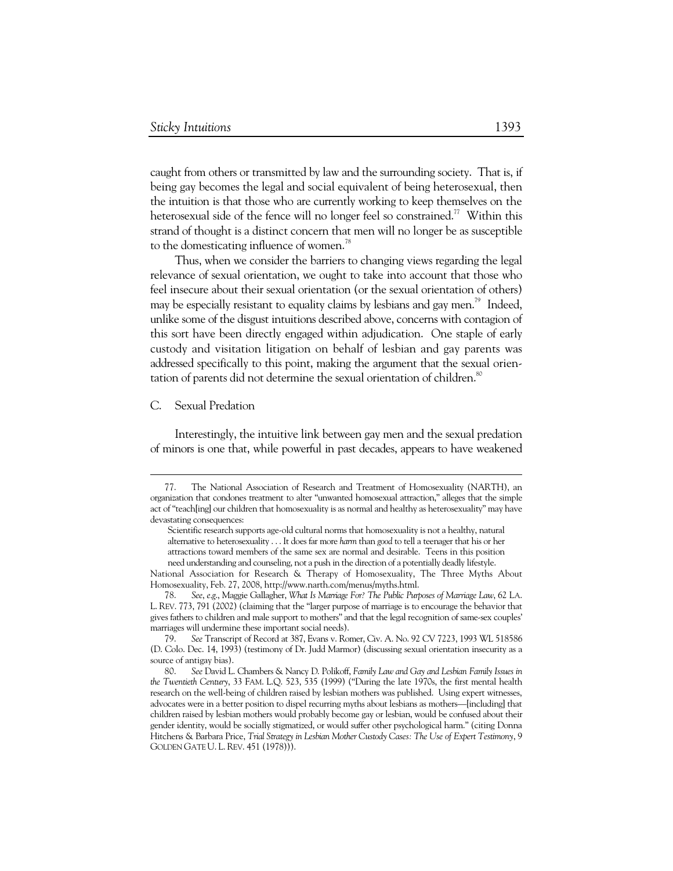caught from others or transmitted by law and the surrounding society. That is, if being gay becomes the legal and social equivalent of being heterosexual, then the intuition is that those who are currently working to keep themselves on the heterosexual side of the fence will no longer feel so constrained.<sup>77</sup> Within this strand of thought is a distinct concern that men will no longer be as susceptible to the domesticating influence of women.<sup>78</sup>

Thus, when we consider the barriers to changing views regarding the legal relevance of sexual orientation, we ought to take into account that those who feel insecure about their sexual orientation (or the sexual orientation of others) may be especially resistant to equality claims by lesbians and gay men.<sup>79</sup> Indeed, unlike some of the disgust intuitions described above, concerns with contagion of this sort have been directly engaged within adjudication. One staple of early custody and visitation litigation on behalf of lesbian and gay parents was addressed specifically to this point, making the argument that the sexual orientation of parents did not determine the sexual orientation of children.<sup>80</sup>

#### C. Sexual Predation

Interestingly, the intuitive link between gay men and the sexual predation of minors is one that, while powerful in past decades, appears to have weakened

 <sup>77.</sup> The National Association of Research and Treatment of Homosexuality (NARTH), an organization that condones treatment to alter "unwanted homosexual attraction," alleges that the simple act of "teach[ing] our children that homosexuality is as normal and healthy as heterosexuality" may have devastating consequences:

Scientific research supports age-old cultural norms that homosexuality is not a healthy, natural alternative to heterosexuality . . . It does far more *harm* than *good* to tell a teenager that his or her attractions toward members of the same sex are normal and desirable. Teens in this position need understanding and counseling, not a push in the direction of a potentially deadly lifestyle.

National Association for Research & Therapy of Homosexuality, The Three Myths About Homosexuality, Feb. 27, 2008, http://www.narth.com/menus/myths.html.

 <sup>78.</sup> *See*, *e*.*g*., Maggie Gallagher, *What Is Marriage For? The Public Purposes of Marriage Law*, 62 LA. L. REV. 773, 791 (2002) (claiming that the "larger purpose of marriage is to encourage the behavior that gives fathers to children and male support to mothers" and that the legal recognition of same-sex couples' marriages will undermine these important social needs).

 <sup>79.</sup> *See* Transcript of Record at 387, Evans v. Romer, Civ. A. No. 92 CV 7223, 1993 WL 518586 (D. Colo. Dec. 14, 1993) (testimony of Dr. Judd Marmor) (discussing sexual orientation insecurity as a source of antigay bias).

 <sup>80.</sup> *See* David L. Chambers & Nancy D. Polikoff, *Family Law and Gay and Lesbian Family Issues in the Twentieth Century*, 33 FAM. L.Q. 523, 535 (1999) ("During the late 1970s, the first mental health research on the well-being of children raised by lesbian mothers was published. Using expert witnesses, advocates were in a better position to dispel recurring myths about lesbians as mothers—[including] that children raised by lesbian mothers would probably become gay or lesbian, would be confused about their gender identity, would be socially stigmatized, or would suffer other psychological harm." (citing Donna Hitchens & Barbara Price, *Trial Strategy in Lesbian Mother Custody Cases: The Use of Expert Testimony*, 9 GOLDEN GATE U. L. REV. 451 (1978))).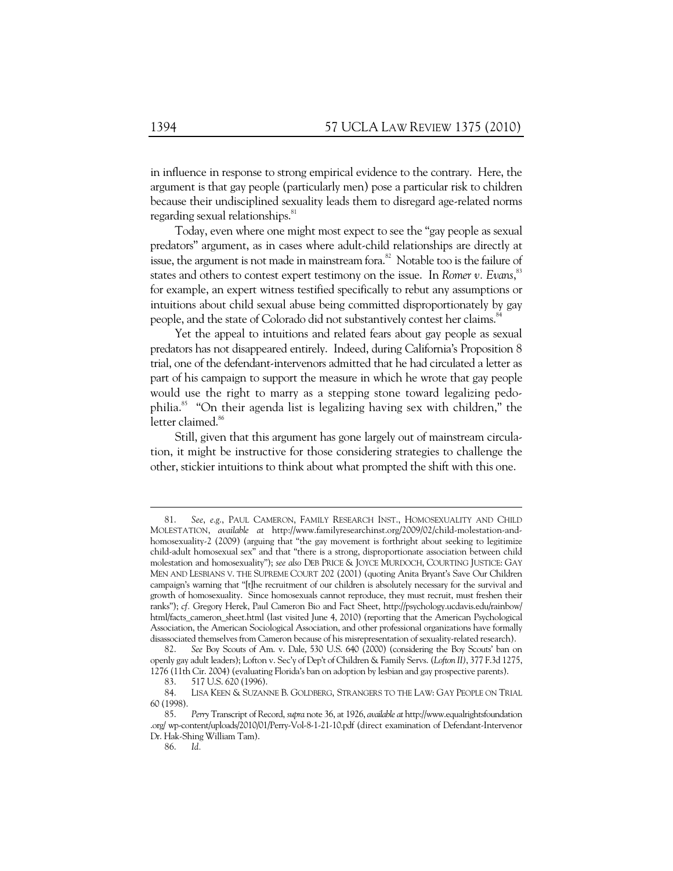in influence in response to strong empirical evidence to the contrary. Here, the argument is that gay people (particularly men) pose a particular risk to children because their undisciplined sexuality leads them to disregard age-related norms regarding sexual relationships.<sup>81</sup>

Today, even where one might most expect to see the "gay people as sexual predators" argument, as in cases where adult-child relationships are directly at issue, the argument is not made in mainstream fora. $82$  Notable too is the failure of states and others to contest expert testimony on the issue. In *Romer v. Evans*,<sup>83</sup> for example, an expert witness testified specifically to rebut any assumptions or intuitions about child sexual abuse being committed disproportionately by gay people, and the state of Colorado did not substantively contest her claims.<sup>84</sup>

Yet the appeal to intuitions and related fears about gay people as sexual predators has not disappeared entirely. Indeed, during California's Proposition 8 trial, one of the defendant-intervenors admitted that he had circulated a letter as part of his campaign to support the measure in which he wrote that gay people would use the right to marry as a stepping stone toward legalizing pedophilia.85 "On their agenda list is legalizing having sex with children," the letter claimed.<sup>86</sup>

Still, given that this argument has gone largely out of mainstream circulation, it might be instructive for those considering strategies to challenge the other, stickier intuitions to think about what prompted the shift with this one.

 <sup>81.</sup> *See*, *e*.*g*., PAUL CAMERON, FAMILY RESEARCH INST., HOMOSEXUALITY AND CHILD MOLESTATION, *available at* http://www.familyresearchinst.org/2009/02/child-molestation-andhomosexuality-2 (2009) (arguing that "the gay movement is forthright about seeking to legitimize child-adult homosexual sex" and that "there is a strong, disproportionate association between child molestation and homosexuality"); *see also* DEB PRICE & JOYCE MURDOCH, COURTING JUSTICE: GAY MEN AND LESBIANS V. THE SUPREME COURT 202 (2001) (quoting Anita Bryant's Save Our Children campaign's warning that "[t]he recruitment of our children is absolutely necessary for the survival and growth of homosexuality. Since homosexuals cannot reproduce, they must recruit, must freshen their ranks"); *cf.* Gregory Herek, Paul Cameron Bio and Fact Sheet, http://psychology.ucdavis.edu/rainbow/ html/facts\_cameron\_sheet.html (last visited June 4, 2010) (reporting that the American Psychological Association, the American Sociological Association, and other professional organizations have formally disassociated themselves from Cameron because of his misrepresentation of sexuality-related research).

 <sup>82.</sup> *See* Boy Scouts of Am. v. Dale, 530 U.S. 640 (2000) (considering the Boy Scouts' ban on openly gay adult leaders); Lofton v. Sec'y of Dep't of Children & Family Servs. (*Lofton II)*, 377 F.3d 1275, 1276 (11th Cir. 2004) (evaluating Florida's ban on adoption by lesbian and gay prospective parents).

 <sup>83. 517</sup> U.S. 620 (1996).

 <sup>84.</sup> LISA KEEN & SUZANNE B. GOLDBERG, STRANGERS TO THE LAW: GAY PEOPLE ON TRIAL 60 (1998).

 <sup>85.</sup> *Perry* Transcript of Record, *supra* note 36, at 1926, *available at* http://www.equalrightsfoundation .org/ wp-content/uploads/2010/01/Perry-Vol-8-1-21-10.pdf (direct examination of Defendant-Intervenor Dr. Hak-Shing William Tam).

 <sup>86.</sup> *Id.*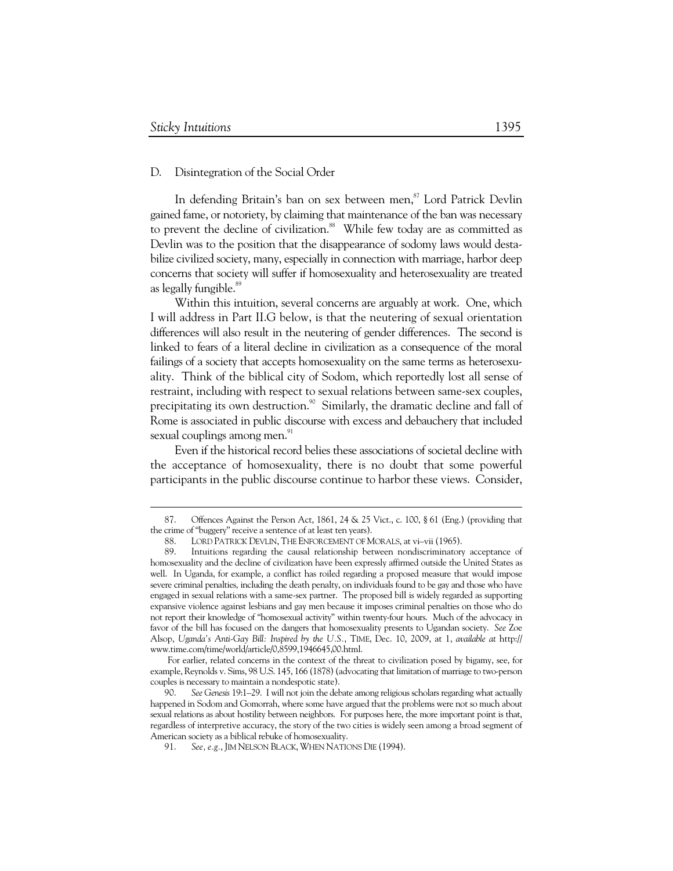### D. Disintegration of the Social Order

In defending Britain's ban on sex between men,<sup>87</sup> Lord Patrick Devlin gained fame, or notoriety, by claiming that maintenance of the ban was necessary to prevent the decline of civilization.<sup>88</sup> While few today are as committed as Devlin was to the position that the disappearance of sodomy laws would destabilize civilized society, many, especially in connection with marriage, harbor deep concerns that society will suffer if homosexuality and heterosexuality are treated as legally fungible.<sup>89</sup>

Within this intuition, several concerns are arguably at work. One, which I will address in Part II.G below, is that the neutering of sexual orientation differences will also result in the neutering of gender differences. The second is linked to fears of a literal decline in civilization as a consequence of the moral failings of a society that accepts homosexuality on the same terms as heterosexuality. Think of the biblical city of Sodom, which reportedly lost all sense of restraint, including with respect to sexual relations between same-sex couples, precipitating its own destruction.<sup>90</sup> Similarly, the dramatic decline and fall of Rome is associated in public discourse with excess and debauchery that included sexual couplings among men.<sup>91</sup>

Even if the historical record belies these associations of societal decline with the acceptance of homosexuality, there is no doubt that some powerful participants in the public discourse continue to harbor these views. Consider,

For earlier, related concerns in the context of the threat to civilization posed by bigamy, see, for example, Reynolds v. Sims, 98 U.S. 145, 166 (1878) (advocating that limitation of marriage to two-person couples is necessary to maintain a nondespotic state).

 <sup>87.</sup> Offences Against the Person Act, 1861, 24 & 25 Vict., c. 100, § 61 (Eng.) (providing that the crime of "buggery" receive a sentence of at least ten years).

<sup>88.</sup> LORD PATRICK DEVLIN, THE ENFORCEMENT OF MORALS, at vi–vii (1965).<br>89. Intuitions regarding the causal relationship between nondiscriminatory

Intuitions regarding the causal relationship between nondiscriminatory acceptance of homosexuality and the decline of civilization have been expressly affirmed outside the United States as well. In Uganda, for example, a conflict has roiled regarding a proposed measure that would impose severe criminal penalties, including the death penalty, on individuals found to be gay and those who have engaged in sexual relations with a same-sex partner. The proposed bill is widely regarded as supporting expansive violence against lesbians and gay men because it imposes criminal penalties on those who do not report their knowledge of "homosexual activity" within twenty-four hours. Much of the advocacy in favor of the bill has focused on the dangers that homosexuality presents to Ugandan society. *See* Zoe Alsop, *Uganda's Anti-Gay Bill: Inspired by the U.S.*, TIME, Dec. 10, 2009, at 1, *available at* http:// www.time.com/time/world/article/0,8599,1946645,00.html.

 <sup>90.</sup> *See Genesis* 19:1–29. I will not join the debate among religious scholars regarding what actually happened in Sodom and Gomorrah, where some have argued that the problems were not so much about sexual relations as about hostility between neighbors. For purposes here, the more important point is that, regardless of interpretive accuracy, the story of the two cities is widely seen among a broad segment of American society as a biblical rebuke of homosexuality.

 <sup>91.</sup> *See, e.g.*, JIM NELSON BLACK,WHEN NATIONS DIE (1994).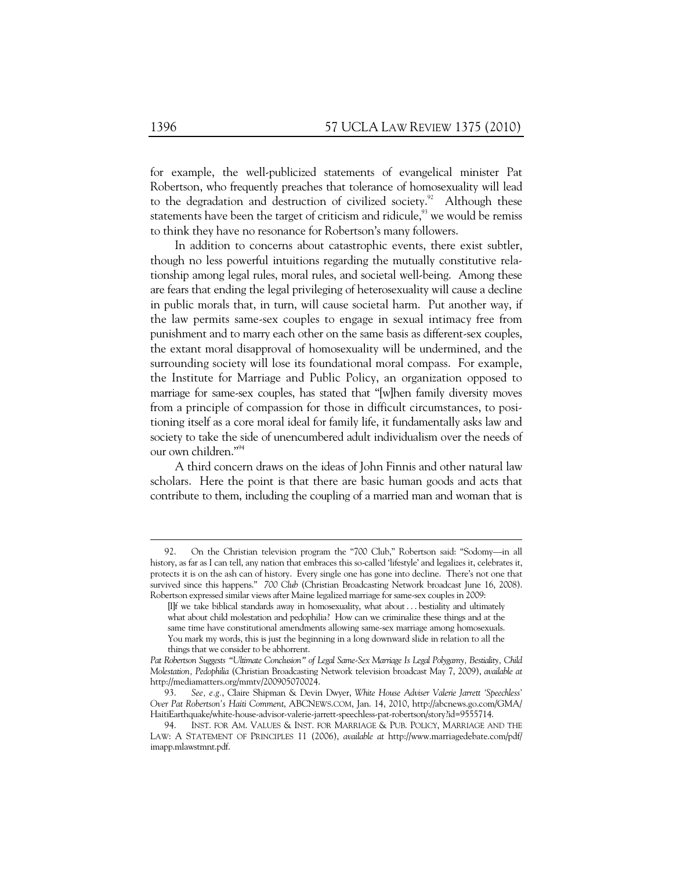for example, the well-publicized statements of evangelical minister Pat Robertson, who frequently preaches that tolerance of homosexuality will lead to the degradation and destruction of civilized society.<sup>92</sup> Although these statements have been the target of criticism and ridicule, $93$  we would be remiss to think they have no resonance for Robertson's many followers.

In addition to concerns about catastrophic events, there exist subtler, though no less powerful intuitions regarding the mutually constitutive relationship among legal rules, moral rules, and societal well-being. Among these are fears that ending the legal privileging of heterosexuality will cause a decline in public morals that, in turn, will cause societal harm. Put another way, if the law permits same-sex couples to engage in sexual intimacy free from punishment and to marry each other on the same basis as different-sex couples, the extant moral disapproval of homosexuality will be undermined, and the surrounding society will lose its foundational moral compass. For example, the Institute for Marriage and Public Policy, an organization opposed to marriage for same-sex couples, has stated that "[w]hen family diversity moves from a principle of compassion for those in difficult circumstances, to positioning itself as a core moral ideal for family life, it fundamentally asks law and society to take the side of unencumbered adult individualism over the needs of our own children."<sup>94</sup>

A third concern draws on the ideas of John Finnis and other natural law scholars. Here the point is that there are basic human goods and acts that contribute to them, including the coupling of a married man and woman that is

 <sup>92.</sup> On the Christian television program the "700 Club," Robertson said: "Sodomy—in all history, as far as I can tell, any nation that embraces this so-called 'lifestyle' and legalizes it, celebrates it, protects it is on the ash can of history. Every single one has gone into decline. There's not one that survived since this happens." *700 Club* (Christian Broadcasting Network broadcast June 16, 2008). Robertson expressed similar views after Maine legalized marriage for same-sex couples in 2009:

<sup>[</sup>I]f we take biblical standards away in homosexuality, what about . . . bestiality and ultimately what about child molestation and pedophilia? How can we criminalize these things and at the same time have constitutional amendments allowing same-sex marriage among homosexuals. You mark my words, this is just the beginning in a long downward slide in relation to all the things that we consider to be abhorrent.

*Pat Robertson Suggests "Ultimate Conclusion" of Legal Same-Sex Marriage Is Legal Polygamy, Bestiality, Child Molestation, Pedophilia* (Christian Broadcasting Network television broadcast May 7, 2009), *available at* http://mediamatters.org/mmtv/200905070024.

 <sup>93.</sup> *See, e.g.*, Claire Shipman & Devin Dwyer, *White House Adviser Valerie Jarrett 'Speechless' Over Pat Robertson's Haiti Comment*, ABCNEWS.COM, Jan. 14, 2010, http://abcnews.go.com/GMA/ HaitiEarthquake/white-house-advisor-valerie-jarrett-speechless-pat-robertson/story?id=9555714.

INST. FOR AM. VALUES & INST. FOR MARRIAGE & PUB. POLICY, MARRIAGE AND THE LAW: A STATEMENT OF PRINCIPLES 11 (2006), *available at* http://www.marriagedebate.com/pdf/ imapp.mlawstmnt.pdf.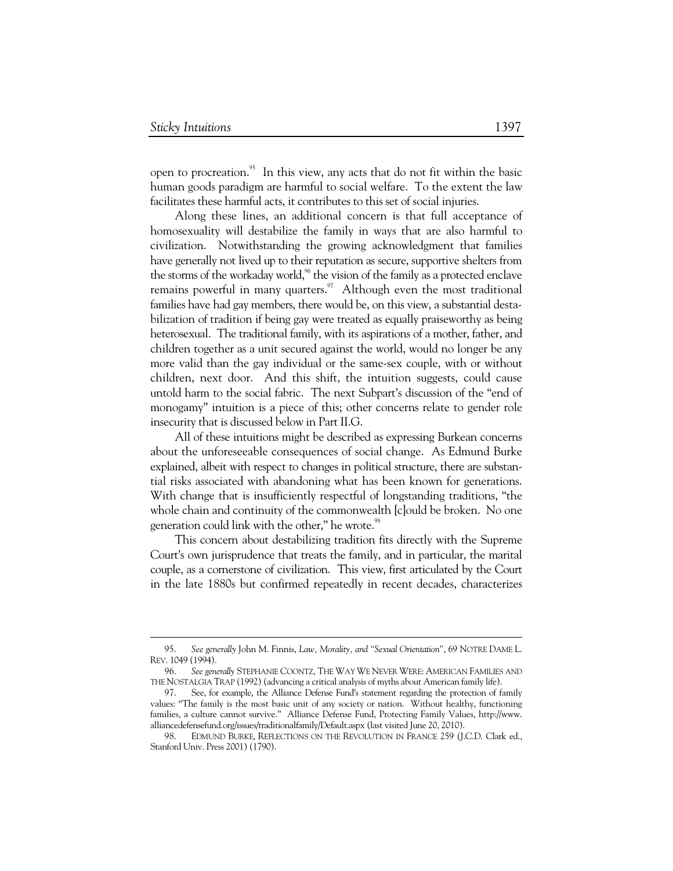$\ddot{\phantom{a}}$ 

open to procreation.<sup>95</sup> In this view, any acts that do not fit within the basic human goods paradigm are harmful to social welfare. To the extent the law facilitates these harmful acts, it contributes to this set of social injuries.

Along these lines, an additional concern is that full acceptance of homosexuality will destabilize the family in ways that are also harmful to civilization. Notwithstanding the growing acknowledgment that families have generally not lived up to their reputation as secure, supportive shelters from the storms of the workaday world, $\frac{96}{3}$  the vision of the family as a protected enclave remains powerful in many quarters.<sup>97</sup> Although even the most traditional families have had gay members, there would be, on this view, a substantial destabilization of tradition if being gay were treated as equally praiseworthy as being heterosexual. The traditional family, with its aspirations of a mother, father, and children together as a unit secured against the world, would no longer be any more valid than the gay individual or the same-sex couple, with or without children, next door. And this shift, the intuition suggests, could cause untold harm to the social fabric. The next Subpart's discussion of the "end of monogamy" intuition is a piece of this; other concerns relate to gender role insecurity that is discussed below in Part II.G.

All of these intuitions might be described as expressing Burkean concerns about the unforeseeable consequences of social change. As Edmund Burke explained, albeit with respect to changes in political structure, there are substantial risks associated with abandoning what has been known for generations. With change that is insufficiently respectful of longstanding traditions, "the whole chain and continuity of the commonwealth [c]ould be broken. No one generation could link with the other," he wrote.<sup>98</sup>

This concern about destabilizing tradition fits directly with the Supreme Court's own jurisprudence that treats the family, and in particular, the marital couple, as a cornerstone of civilization. This view, first articulated by the Court in the late 1880s but confirmed repeatedly in recent decades, characterizes

 <sup>95.</sup> *See generally* John M. Finnis, *Law, Morality, and "Sexual Orientation"*, 69 NOTRE DAME L. REV. 1049 (1994).

 <sup>96.</sup> *See generally* STEPHANIE COONTZ, THE WAY WE NEVER WERE: AMERICAN FAMILIES AND THE NOSTALGIA TRAP (1992) (advancing a critical analysis of myths about American family life).

 <sup>97.</sup> See, for example, the Alliance Defense Fund's statement regarding the protection of family values: "The family is the most basic unit of any society or nation. Without healthy, functioning families, a culture cannot survive." Alliance Defense Fund, Protecting Family Values, http://www. alliancedefensefund.org/issues/traditionalfamily/Default.aspx (last visited June 20, 2010).

 <sup>98.</sup> EDMUND BURKE, REFLECTIONS ON THE REVOLUTION IN FRANCE 259 (J.C.D. Clark ed., Stanford Univ. Press 2001) (1790).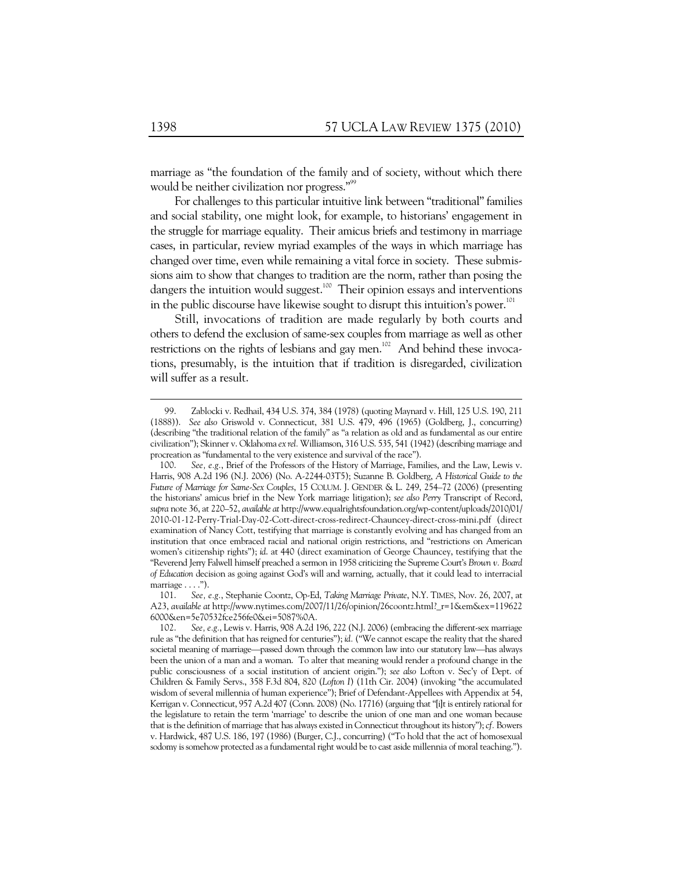marriage as "the foundation of the family and of society, without which there would be neither civilization nor progress."<sup>99</sup>

For challenges to this particular intuitive link between "traditional" families and social stability, one might look, for example, to historians' engagement in the struggle for marriage equality. Their amicus briefs and testimony in marriage cases, in particular, review myriad examples of the ways in which marriage has changed over time, even while remaining a vital force in society. These submissions aim to show that changes to tradition are the norm, rather than posing the dangers the intuition would suggest.<sup>100</sup> Their opinion essays and interventions in the public discourse have likewise sought to disrupt this intuition's power.<sup>101</sup>

Still, invocations of tradition are made regularly by both courts and others to defend the exclusion of same-sex couples from marriage as well as other restrictions on the rights of lesbians and gay men.<sup>102</sup> And behind these invocations, presumably, is the intuition that if tradition is disregarded, civilization will suffer as a result.

 <sup>99.</sup> Zablocki v. Redhail, 434 U.S. 374, 384 (1978) (quoting Maynard v. Hill, 125 U.S. 190, 211 (1888)). *See also* Griswold v. Connecticut, 381 U.S. 479, 496 (1965) (Goldberg, J., concurring) (describing "the traditional relation of the family" as "a relation as old and as fundamental as our entire civilization"); Skinner v. Oklahoma *ex rel.* Williamson, 316 U.S. 535, 541 (1942) (describing marriage and procreation as "fundamental to the very existence and survival of the race").

 <sup>100.</sup> *See, e.g.*, Brief of the Professors of the History of Marriage, Families, and the Law, Lewis v. Harris, 908 A.2d 196 (N.J. 2006) (No. A-2244-03T5); Suzanne B. Goldberg, *A Historical Guide to the Future of Marriage for Same-Sex Couples*, 15 COLUM. J. GENDER & L. 249, 254–72 (2006) (presenting the historians' amicus brief in the New York marriage litigation); *see also Perry* Transcript of Record, *supra* note 36, at 220–52, *available at* http://www.equalrightsfoundation.org/wp-content/uploads/2010/01/ 2010-01-12-Perry-Trial-Day-02-Cott-direct-cross-redirect-Chauncey-direct-cross-mini.pdf (direct examination of Nancy Cott, testifying that marriage is constantly evolving and has changed from an institution that once embraced racial and national origin restrictions, and "restrictions on American women's citizenship rights"); *id*. at 440 (direct examination of George Chauncey, testifying that the "Reverend Jerry Falwell himself preached a sermon in 1958 criticizing the Supreme Court's *Brown v. Board of Education* decision as going against God's will and warning, actually, that it could lead to interracial marriage  $\dots$ .").

 <sup>101.</sup> *See, e.g.*, Stephanie Coontz, Op-Ed, *Taking Marriage Private*, N.Y. TIMES, Nov. 26, 2007, at A23, *available at* http://www.nytimes.com/2007/11/26/opinion/26coontz.html?\_r=1&em&ex=119622 6000&en=5e70532fce256fe0&ei=5087%0A.

 <sup>102.</sup> *See, e.g.*, Lewis v. Harris, 908 A.2d 196, 222 (N.J. 2006) (embracing the different-sex marriage rule as "the definition that has reigned for centuries"); *id.* ("We cannot escape the reality that the shared societal meaning of marriage—passed down through the common law into our statutory law—has always been the union of a man and a woman. To alter that meaning would render a profound change in the public consciousness of a social institution of ancient origin."); *see also* Lofton v. Sec'y of Dept. of Children & Family Servs., 358 F.3d 804, 820 (*Lofton I*) (11th Cir. 2004) (invoking "the accumulated wisdom of several millennia of human experience"); Brief of Defendant-Appellees with Appendix at 54, Kerrigan v. Connecticut, 957 A.2d 407 (Conn. 2008) (No. 17716) (arguing that "[i]t is entirely rational for the legislature to retain the term 'marriage' to describe the union of one man and one woman because that is the definition of marriage that has always existed in Connecticut throughout its history"); *cf.* Bowers v. Hardwick, 487 U.S. 186, 197 (1986) (Burger, C.J., concurring) ("To hold that the act of homosexual sodomy is somehow protected as a fundamental right would be to cast aside millennia of moral teaching.").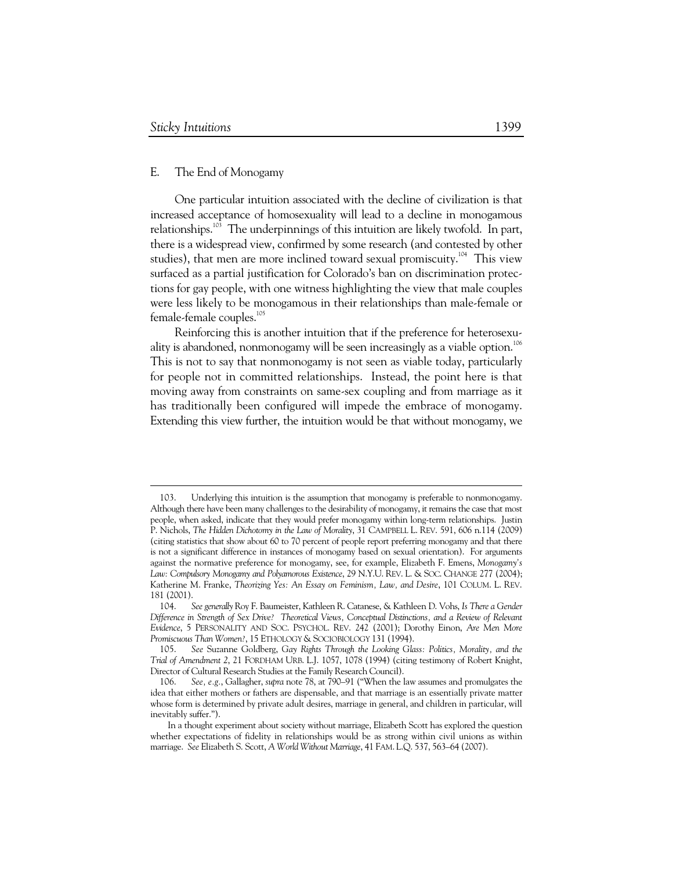$\ddot{\phantom{a}}$ 

### E. The End of Monogamy

One particular intuition associated with the decline of civilization is that increased acceptance of homosexuality will lead to a decline in monogamous relationships.<sup>103</sup> The underpinnings of this intuition are likely twofold. In part, there is a widespread view, confirmed by some research (and contested by other studies), that men are more inclined toward sexual promiscuity.<sup>104</sup> This view surfaced as a partial justification for Colorado's ban on discrimination protections for gay people, with one witness highlighting the view that male couples were less likely to be monogamous in their relationships than male-female or female-female couples.<sup>105</sup>

Reinforcing this is another intuition that if the preference for heterosexuality is abandoned, nonmonogamy will be seen increasingly as a viable option.<sup>106</sup> This is not to say that nonmonogamy is not seen as viable today, particularly for people not in committed relationships. Instead, the point here is that moving away from constraints on same-sex coupling and from marriage as it has traditionally been configured will impede the embrace of monogamy. Extending this view further, the intuition would be that without monogamy, we

 <sup>103.</sup> Underlying this intuition is the assumption that monogamy is preferable to nonmonogamy. Although there have been many challenges to the desirability of monogamy, it remains the case that most people, when asked, indicate that they would prefer monogamy within long-term relationships. Justin P. Nichols, *The Hidden Dichotomy in the Law of Morality*, 31 CAMPBELL L. REV. 591, 606 n.114 (2009) (citing statistics that show about 60 to 70 percent of people report preferring monogamy and that there is not a significant difference in instances of monogamy based on sexual orientation). For arguments against the normative preference for monogamy, see, for example, Elizabeth F. Emens, *Monogamy's Law: Compulsory Monogamy and Polyamorous Existence*, 29 N.Y.U. REV. L. & SOC. CHANGE 277 (2004); Katherine M. Franke, *Theorizing Yes: An Essay on Feminism, Law, and Desire*, 101 COLUM. L. REV. 181 (2001).

 <sup>104.</sup> *See generally* Roy F. Baumeister, Kathleen R. Catanese, & Kathleen D. Vohs, *Is There a Gender Difference in Strength of Sex Drive? Theoretical Views, Conceptual Distinctions, and a Review of Relevant Evidence*, 5 PERSONALITY AND SOC. PSYCHOL. REV. 242 (2001); Dorothy Einon, *Are Men More Promiscuous Than Women?*, 15 ETHOLOGY & SOCIOBIOLOGY 131 (1994).

 <sup>105.</sup> *See* Suzanne Goldberg, *Gay Rights Through the Looking Glass: Politics, Morality, and the Trial of Amendment 2*, 21 FORDHAM URB. L.J. 1057, 1078 (1994) (citing testimony of Robert Knight, Director of Cultural Research Studies at the Family Research Council).

 <sup>106.</sup> *See, e.g.*, Gallagher, *supra* note 78, at 790–91 ("When the law assumes and promulgates the idea that either mothers or fathers are dispensable, and that marriage is an essentially private matter whose form is determined by private adult desires, marriage in general, and children in particular, will inevitably suffer.").

In a thought experiment about society without marriage, Elizabeth Scott has explored the question whether expectations of fidelity in relationships would be as strong within civil unions as within marriage. *See* Elizabeth S. Scott, *A World Without Marriage*, 41 FAM. L.Q. 537, 563–64 (2007).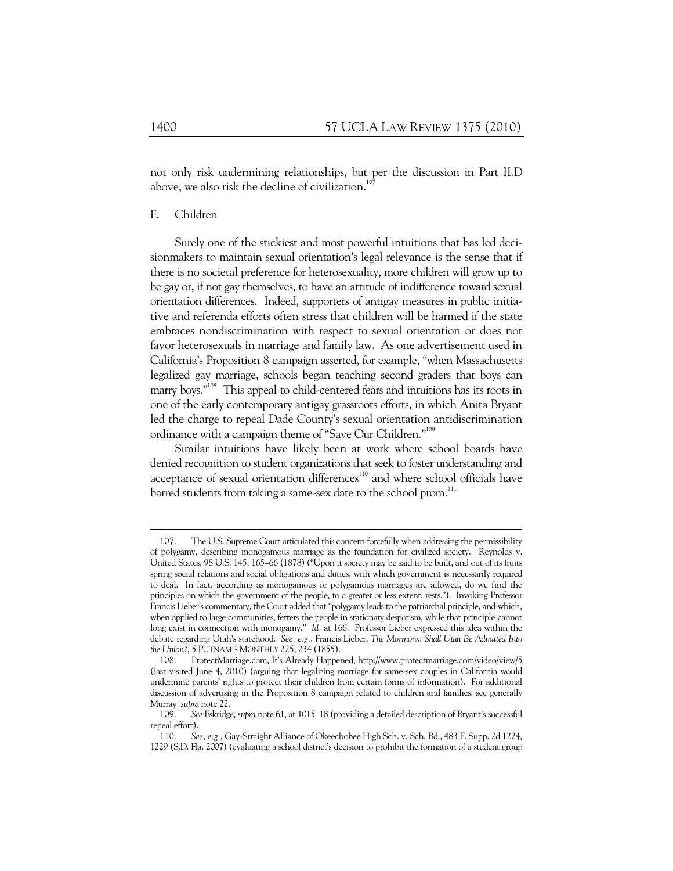not only risk undermining relationships, but per the discussion in Part II.D above, we also risk the decline of civilization.<sup>107</sup>

### F. Children

Surely one of the stickiest and most powerful intuitions that has led decisionmakers to maintain sexual orientation's legal relevance is the sense that if there is no societal preference for heterosexuality, more children will grow up to be gay or, if not gay themselves, to have an attitude of indifference toward sexual orientation differences. Indeed, supporters of antigay measures in public initiative and referenda efforts often stress that children will be harmed if the state embraces nondiscrimination with respect to sexual orientation or does not favor heterosexuals in marriage and family law. As one advertisement used in California's Proposition 8 campaign asserted, for example, "when Massachusetts legalized gay marriage, schools began teaching second graders that boys can marry boys."108 This appeal to child-centered fears and intuitions has its roots in one of the early contemporary antigay grassroots efforts, in which Anita Bryant led the charge to repeal Dade County's sexual orientation antidiscrimination ordinance with a campaign theme of "Save Our Children."<sup>109</sup>

Similar intuitions have likely been at work where school boards have denied recognition to student organizations that seek to foster understanding and acceptance of sexual orientation differences<sup>110</sup> and where school officials have barred students from taking a same-sex date to the school prom.<sup>111</sup>

 <sup>107.</sup> The U.S. Supreme Court articulated this concern forcefully when addressing the permissibility of polygamy, describing monogamous marriage as the foundation for civilized society. Reynolds v. United States, 98 U.S. 145, 165–66 (1878) ("Upon it society may be said to be built, and out of its fruits spring social relations and social obligations and duties, with which government is necessarily required to deal. In fact, according as monogamous or polygamous marriages are allowed, do we find the principles on which the government of the people, to a greater or less extent, rests."). Invoking Professor Francis Lieber's commentary, the Court added that "polygamy leads to the patriarchal principle, and which, when applied to large communities, fetters the people in stationary despotism, while that principle cannot long exist in connection with monogamy." *Id.* at 166. Professor Lieber expressed this idea within the debate regarding Utah's statehood. *See, e.g.*, Francis Lieber, *The Mormons: Shall Utah Be Admitted Into the Union?*, 5 PUTNAM'S MONTHLY 225, 234 (1855).

 <sup>108.</sup> ProtectMarriage.com, It's Already Happened, http://www.protectmarriage.com/video/view/5 (last visited June 4, 2010) (arguing that legalizing marriage for same-sex couples in California would undermine parents' rights to protect their children from certain forms of information). For additional discussion of advertising in the Proposition 8 campaign related to children and families, see generally Murray, *supra* note 22.

 <sup>109.</sup> *See* Eskridge, *supra* note 61, at 1015–18 (providing a detailed description of Bryant's successful repeal effort).

 <sup>110.</sup> *See, e.g.*, Gay-Straight Alliance of Okeechobee High Sch. v. Sch. Bd., 483 F. Supp. 2d 1224, 1229 (S.D. Fla. 2007) (evaluating a school district's decision to prohibit the formation of a student group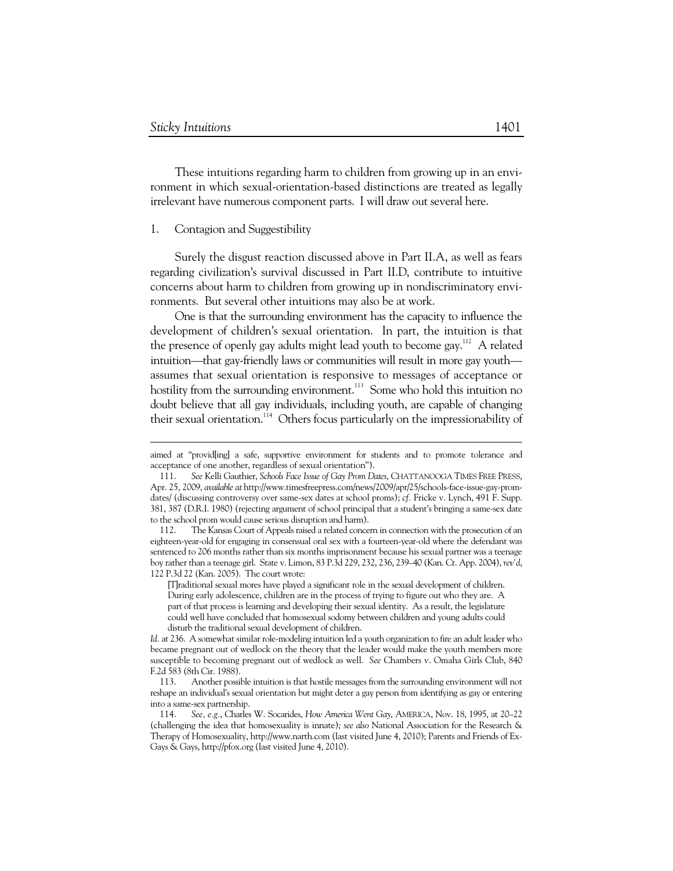-

These intuitions regarding harm to children from growing up in an environment in which sexual-orientation-based distinctions are treated as legally irrelevant have numerous component parts. I will draw out several here.

### 1. Contagion and Suggestibility

Surely the disgust reaction discussed above in Part II.A, as well as fears regarding civilization's survival discussed in Part II.D, contribute to intuitive concerns about harm to children from growing up in nondiscriminatory environments. But several other intuitions may also be at work.

One is that the surrounding environment has the capacity to influence the development of children's sexual orientation. In part, the intuition is that the presence of openly gay adults might lead youth to become gay.<sup>112</sup> A related intuition—that gay-friendly laws or communities will result in more gay youth assumes that sexual orientation is responsive to messages of acceptance or hostility from the surrounding environment.<sup>113</sup> Some who hold this intuition no doubt believe that all gay individuals, including youth, are capable of changing their sexual orientation.<sup>114</sup> Others focus particularly on the impressionability of

aimed at "provid[ing] a safe, supportive environment for students and to promote tolerance and acceptance of one another, regardless of sexual orientation").

 <sup>111.</sup> *See* Kelli Gauthier, *Schools Face Issue of Gay Prom Dates*, CHATTANOOGA TIMES FREE PRESS, Apr. 25, 2009, *available at* http://www.timesfreepress.com/news/2009/apr/25/schools-face-issue-gay-promdates/ (discussing controversy over same-sex dates at school proms); *cf.* Fricke v. Lynch, 491 F. Supp. 381, 387 (D.R.I. 1980) (rejecting argument of school principal that a student's bringing a same-sex date to the school prom would cause serious disruption and harm).

 <sup>112.</sup> The Kansas Court of Appeals raised a related concern in connection with the prosecution of an eighteen-year-old for engaging in consensual oral sex with a fourteen-year-old where the defendant was sentenced to 206 months rather than six months imprisonment because his sexual partner was a teenage boy rather than a teenage girl. State v. Limon, 83 P.3d 229, 232, 236, 239–40 (Kan. Ct. App. 2004), *rev'd*, 122 P.3d 22 (Kan. 2005). The court wrote:

<sup>[</sup>T]raditional sexual mores have played a significant role in the sexual development of children. During early adolescence, children are in the process of trying to figure out who they are. A part of that process is learning and developing their sexual identity. As a result, the legislature could well have concluded that homosexual sodomy between children and young adults could disturb the traditional sexual development of children.

*Id.* at 236. A somewhat similar role-modeling intuition led a youth organization to fire an adult leader who became pregnant out of wedlock on the theory that the leader would make the youth members more susceptible to becoming pregnant out of wedlock as well. *See* Chambers v. Omaha Girls Club, 840 F.2d 583 (8th Cir. 1988).

 <sup>113.</sup> Another possible intuition is that hostile messages from the surrounding environment will not reshape an individual's sexual orientation but might deter a gay person from identifying as gay or entering into a same-sex partnership.

 <sup>114.</sup> *See, e.g.*, Charles W. Socarides, *How America Went Gay*, AMERICA, Nov. 18, 1995, at 20–22 (challenging the idea that homosexuality is innate); *see also* National Association for the Research & Therapy of Homosexuality, http://www.narth.com (last visited June 4, 2010); Parents and Friends of Ex-Gays & Gays, http://pfox.org (last visited June 4, 2010).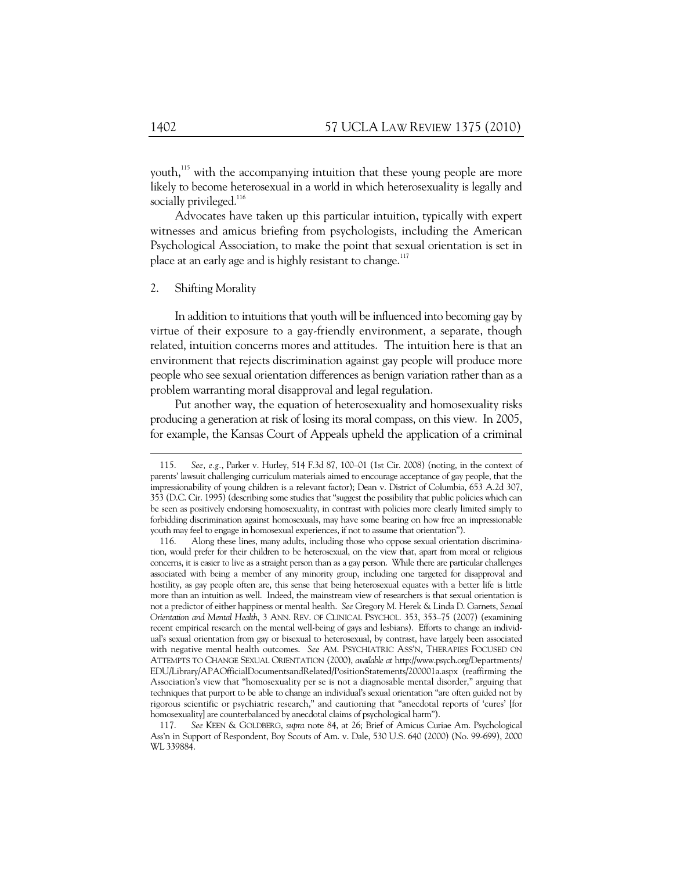youth.<sup>115</sup> with the accompanying intuition that these young people are more likely to become heterosexual in a world in which heterosexuality is legally and socially privileged. $116$ 

Advocates have taken up this particular intuition, typically with expert witnesses and amicus briefing from psychologists, including the American Psychological Association, to make the point that sexual orientation is set in place at an early age and is highly resistant to change. $117$ 

#### 2. Shifting Morality

In addition to intuitions that youth will be influenced into becoming gay by virtue of their exposure to a gay-friendly environment, a separate, though related, intuition concerns mores and attitudes. The intuition here is that an environment that rejects discrimination against gay people will produce more people who see sexual orientation differences as benign variation rather than as a problem warranting moral disapproval and legal regulation.

Put another way, the equation of heterosexuality and homosexuality risks producing a generation at risk of losing its moral compass, on this view. In 2005, for example, the Kansas Court of Appeals upheld the application of a criminal

 <sup>115.</sup> *See, e.g.*, Parker v. Hurley, 514 F.3d 87, 100–01 (1st Cir. 2008) (noting, in the context of parents' lawsuit challenging curriculum materials aimed to encourage acceptance of gay people, that the impressionability of young children is a relevant factor); Dean v. District of Columbia, 653 A.2d 307, 353 (D.C. Cir. 1995) (describing some studies that "suggest the possibility that public policies which can be seen as positively endorsing homosexuality, in contrast with policies more clearly limited simply to forbidding discrimination against homosexuals, may have some bearing on how free an impressionable youth may feel to engage in homosexual experiences, if not to assume that orientation").

 <sup>116.</sup> Along these lines, many adults, including those who oppose sexual orientation discrimination, would prefer for their children to be heterosexual, on the view that, apart from moral or religious concerns, it is easier to live as a straight person than as a gay person. While there are particular challenges associated with being a member of any minority group, including one targeted for disapproval and hostility, as gay people often are, this sense that being heterosexual equates with a better life is little more than an intuition as well. Indeed, the mainstream view of researchers is that sexual orientation is not a predictor of either happiness or mental health. *See* Gregory M. Herek & Linda D. Garnets, *Sexual Orientation and Mental Health*, 3 ANN. REV. OF CLINICAL PSYCHOL. 353, 353–75 (2007) (examining recent empirical research on the mental well-being of gays and lesbians). Efforts to change an individual's sexual orientation from gay or bisexual to heterosexual, by contrast, have largely been associated with negative mental health outcomes. *See* AM. PSYCHIATRIC ASS'N, THERAPIES FOCUSED ON ATTEMPTS TO CHANGE SEXUAL ORIENTATION (2000), *available at* http://www.psych.org/Departments/ EDU/Library/APAOfficialDocumentsandRelated/PositionStatements/200001a.aspx (reaffirming the Association's view that "homosexuality per se is not a diagnosable mental disorder," arguing that techniques that purport to be able to change an individual's sexual orientation "are often guided not by rigorous scientific or psychiatric research," and cautioning that "anecdotal reports of 'cures' [for homosexuality] are counterbalanced by anecdotal claims of psychological harm").

 <sup>117.</sup> *See* KEEN & GOLDBERG, *supra* note 84, at 26; Brief of Amicus Curiae Am. Psychological Ass'n in Support of Respondent, Boy Scouts of Am. v. Dale, 530 U.S. 640 (2000) (No. 99-699), 2000 WL 339884.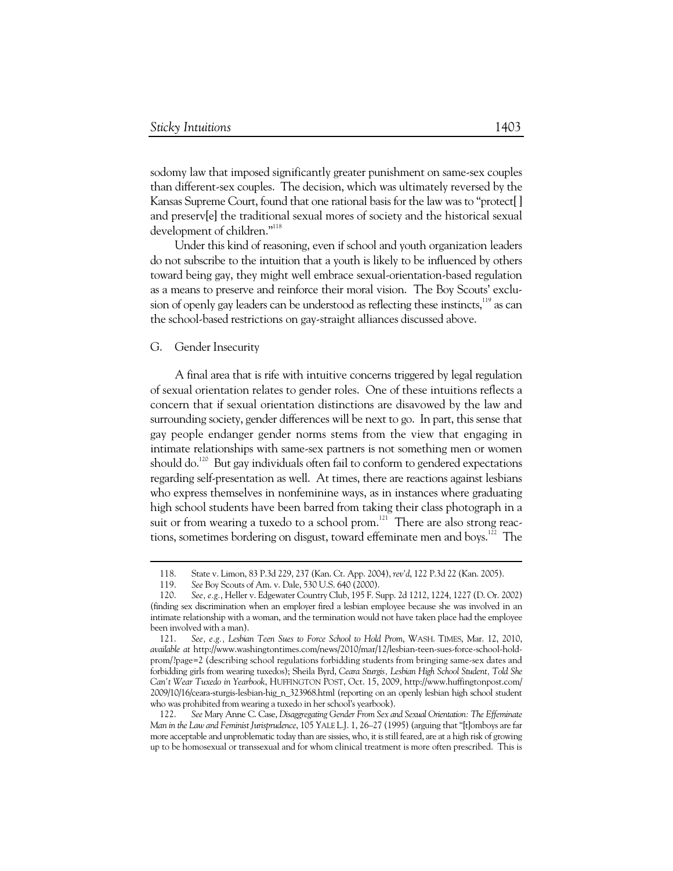sodomy law that imposed significantly greater punishment on same-sex couples than different-sex couples. The decision, which was ultimately reversed by the Kansas Supreme Court, found that one rational basis for the law was to "protect<sup>[]</sup> and preserv[e] the traditional sexual mores of society and the historical sexual development of children."<sup>118</sup>

Under this kind of reasoning, even if school and youth organization leaders do not subscribe to the intuition that a youth is likely to be influenced by others toward being gay, they might well embrace sexual-orientation-based regulation as a means to preserve and reinforce their moral vision. The Boy Scouts' exclusion of openly gay leaders can be understood as reflecting these instincts, $^{^{119}}$  as can the school-based restrictions on gay-straight alliances discussed above.

#### G. Gender Insecurity

 $\ddot{\phantom{a}}$ 

A final area that is rife with intuitive concerns triggered by legal regulation of sexual orientation relates to gender roles. One of these intuitions reflects a concern that if sexual orientation distinctions are disavowed by the law and surrounding society, gender differences will be next to go. In part, this sense that gay people endanger gender norms stems from the view that engaging in intimate relationships with same-sex partners is not something men or women should do.<sup>120</sup> But gay individuals often fail to conform to gendered expectations regarding self-presentation as well. At times, there are reactions against lesbians who express themselves in nonfeminine ways, as in instances where graduating high school students have been barred from taking their class photograph in a suit or from wearing a tuxedo to a school prom.<sup>121</sup> There are also strong reactions, sometimes bordering on disgust, toward effeminate men and boys.<sup>122</sup> The

 <sup>118.</sup> State v. Limon, 83 P.3d 229, 237 (Kan. Ct. App. 2004), *rev'd*, 122 P.3d 22 (Kan. 2005).

 <sup>119.</sup> *See* Boy Scouts of Am. v. Dale, 530 U.S. 640 (2000).

 <sup>120.</sup> *See, e.g.*, Heller v. Edgewater Country Club, 195 F. Supp. 2d 1212, 1224, 1227 (D. Or. 2002) (finding sex discrimination when an employer fired a lesbian employee because she was involved in an intimate relationship with a woman, and the termination would not have taken place had the employee been involved with a man).

 <sup>121.</sup> *See, e.g., Lesbian Teen Sues to Force School to Hold Prom*, WASH. TIMES, Mar. 12, 2010, *available at* http://www.washingtontimes.com/news/2010/mar/12/lesbian-teen-sues-force-school-holdprom/?page=2 (describing school regulations forbidding students from bringing same-sex dates and forbidding girls from wearing tuxedos); Sheila Byrd, *Ceara Sturgis, Lesbian High School Student, Told She Can't Wear Tuxedo in Yearbook*, HUFFINGTON POST, Oct. 15, 2009, http://www.huffingtonpost.com/ 2009/10/16/ceara-sturgis-lesbian-hig\_n\_323968.html (reporting on an openly lesbian high school student who was prohibited from wearing a tuxedo in her school's yearbook).

 <sup>122.</sup> *See* Mary Anne C. Case, *Disaggregating Gender From Sex and Sexual Orientation: The Effeminate Man in the Law and Feminist Jurisprudence*, 105 YALE L.J. 1, 26–27 (1995) (arguing that "[t]omboys are far more acceptable and unproblematic today than are sissies, who, it is still feared, are at a high risk of growing up to be homosexual or transsexual and for whom clinical treatment is more often prescribed. This is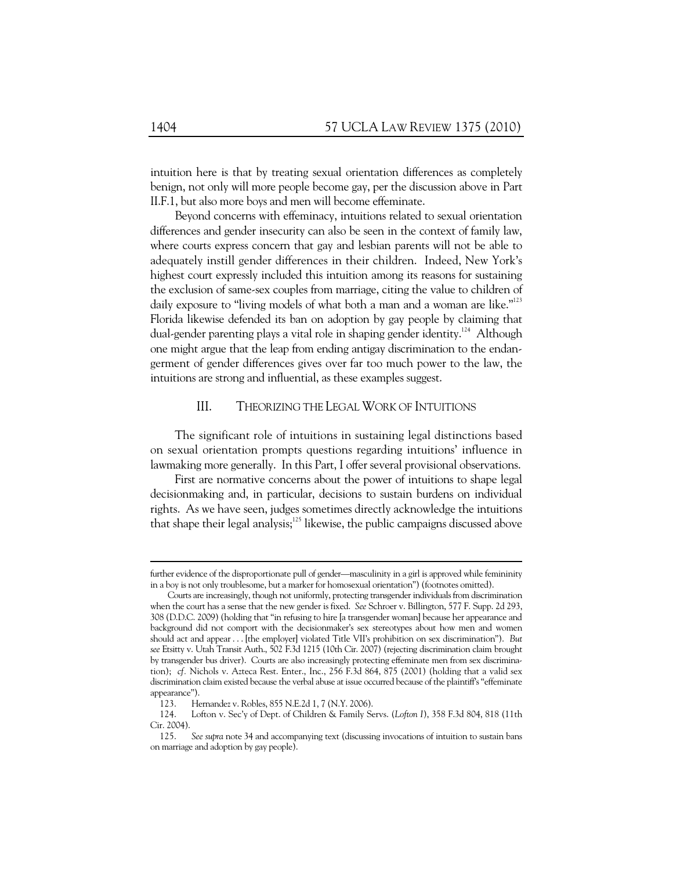intuition here is that by treating sexual orientation differences as completely benign, not only will more people become gay, per the discussion above in Part II.F.1, but also more boys and men will become effeminate.

Beyond concerns with effeminacy, intuitions related to sexual orientation differences and gender insecurity can also be seen in the context of family law, where courts express concern that gay and lesbian parents will not be able to adequately instill gender differences in their children. Indeed, New York's highest court expressly included this intuition among its reasons for sustaining the exclusion of same-sex couples from marriage, citing the value to children of daily exposure to "living models of what both a man and a woman are like."<sup>123</sup> Florida likewise defended its ban on adoption by gay people by claiming that dual-gender parenting plays a vital role in shaping gender identity.<sup>124</sup> Although one might argue that the leap from ending antigay discrimination to the endangerment of gender differences gives over far too much power to the law, the intuitions are strong and influential, as these examples suggest.

### III. THEORIZING THE LEGAL WORK OF INTUITIONS

The significant role of intuitions in sustaining legal distinctions based on sexual orientation prompts questions regarding intuitions' influence in lawmaking more generally. In this Part, I offer several provisional observations.

First are normative concerns about the power of intuitions to shape legal decisionmaking and, in particular, decisions to sustain burdens on individual rights. As we have seen, judges sometimes directly acknowledge the intuitions that shape their legal analysis; $125$  likewise, the public campaigns discussed above

 $\ddot{\phantom{a}}$ 

further evidence of the disproportionate pull of gender—masculinity in a girl is approved while femininity in a boy is not only troublesome, but a marker for homosexual orientation") (footnotes omitted).

Courts are increasingly, though not uniformly, protecting transgender individuals from discrimination when the court has a sense that the new gender is fixed. *See* Schroer v. Billington, 577 F. Supp. 2d 293, 308 (D.D.C. 2009) (holding that "in refusing to hire [a transgender woman] because her appearance and background did not comport with the decisionmaker's sex stereotypes about how men and women should act and appear . . . [the employer] violated Title VII's prohibition on sex discrimination"). *But see* Etsitty v. Utah Transit Auth., 502 F.3d 1215 (10th Cir. 2007) (rejecting discrimination claim brought by transgender bus driver). Courts are also increasingly protecting effeminate men from sex discrimination); *cf.* Nichols v. Azteca Rest. Enter., Inc., 256 F.3d 864, 875 (2001) (holding that a valid sex discrimination claim existed because the verbal abuse at issue occurred because of the plaintiff's "effeminate appearance").

 <sup>123.</sup> Hernandez v. Robles, 855 N.E.2d 1, 7 (N.Y. 2006).

 <sup>124.</sup> Lofton v. Sec'y of Dept. of Children & Family Servs. (*Lofton I*), 358 F.3d 804, 818 (11th Cir. 2004).

 <sup>125.</sup> *See supra* note 34 and accompanying text (discussing invocations of intuition to sustain bans on marriage and adoption by gay people).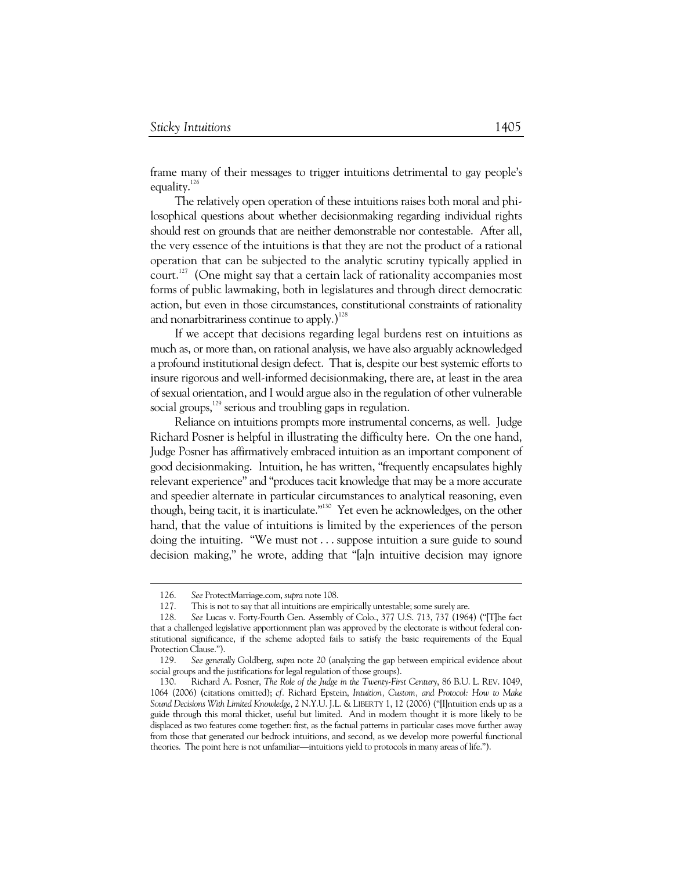frame many of their messages to trigger intuitions detrimental to gay people's equality. $126$ 

The relatively open operation of these intuitions raises both moral and philosophical questions about whether decisionmaking regarding individual rights should rest on grounds that are neither demonstrable nor contestable. After all, the very essence of the intuitions is that they are not the product of a rational operation that can be subjected to the analytic scrutiny typically applied in court.<sup>127</sup> (One might say that a certain lack of rationality accompanies most forms of public lawmaking, both in legislatures and through direct democratic action, but even in those circumstances, constitutional constraints of rationality and nonarbitrariness continue to apply.)<sup>128</sup>

If we accept that decisions regarding legal burdens rest on intuitions as much as, or more than, on rational analysis, we have also arguably acknowledged a profound institutional design defect. That is, despite our best systemic efforts to insure rigorous and well-informed decisionmaking, there are, at least in the area of sexual orientation, and I would argue also in the regulation of other vulnerable social groups,<sup>129</sup> serious and troubling gaps in regulation.

Reliance on intuitions prompts more instrumental concerns, as well. Judge Richard Posner is helpful in illustrating the difficulty here. On the one hand, Judge Posner has affirmatively embraced intuition as an important component of good decisionmaking. Intuition, he has written, "frequently encapsulates highly relevant experience" and "produces tacit knowledge that may be a more accurate and speedier alternate in particular circumstances to analytical reasoning, even though, being tacit, it is inarticulate."130 Yet even he acknowledges, on the other hand, that the value of intuitions is limited by the experiences of the person doing the intuiting. "We must not . . . suppose intuition a sure guide to sound decision making," he wrote, adding that "[a]n intuitive decision may ignore

 <sup>126.</sup> *See* ProtectMarriage.com, *supra* note 108.

 <sup>127.</sup> This is not to say that all intuitions are empirically untestable; some surely are.

 <sup>128.</sup> *See* Lucas v. Forty-Fourth Gen. Assembly of Colo., 377 U.S. 713, 737 (1964) ("[T]he fact that a challenged legislative apportionment plan was approved by the electorate is without federal constitutional significance, if the scheme adopted fails to satisfy the basic requirements of the Equal Protection Clause.").

 <sup>129.</sup> *See generally* Goldberg, *supra* note 20 (analyzing the gap between empirical evidence about social groups and the justifications for legal regulation of those groups).

 <sup>130.</sup> Richard A. Posner, *The Role of the Judge in the Twenty-First Century*, 86 B.U. L. REV. 1049, 1064 (2006) (citations omitted); *cf.* Richard Epstein, *Intuition, Custom, and Protocol: How to Make Sound Decisions With Limited Knowledge*, 2 N.Y.U. J.L. & LIBERTY 1, 12 (2006) ("[I]ntuition ends up as a guide through this moral thicket, useful but limited. And in modern thought it is more likely to be displaced as two features come together: first, as the factual patterns in particular cases move further away from those that generated our bedrock intuitions, and second, as we develop more powerful functional theories. The point here is not unfamiliar—intuitions yield to protocols in many areas of life.").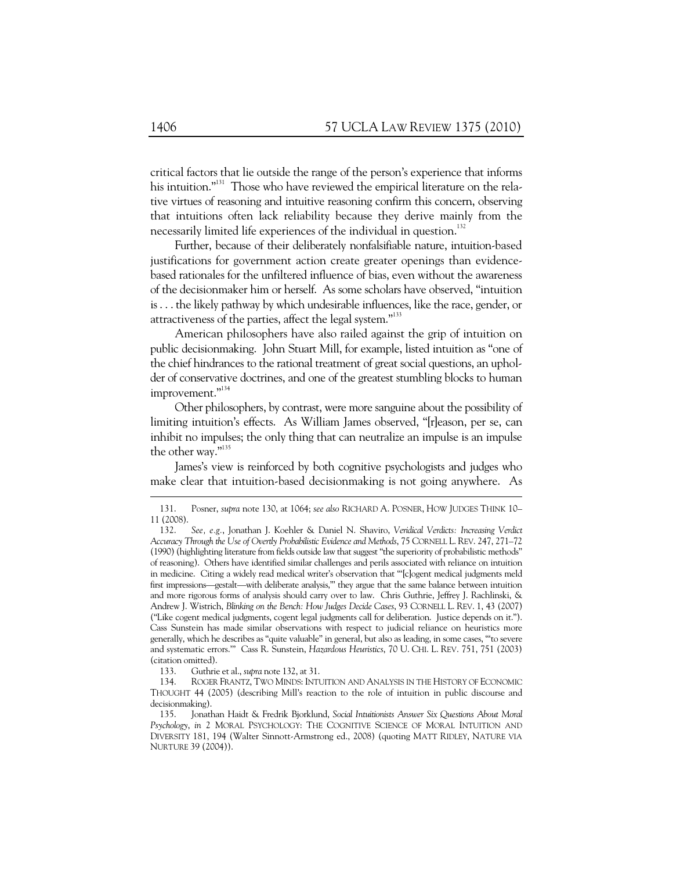critical factors that lie outside the range of the person's experience that informs his intuition."<sup>131</sup> Those who have reviewed the empirical literature on the relative virtues of reasoning and intuitive reasoning confirm this concern, observing that intuitions often lack reliability because they derive mainly from the necessarily limited life experiences of the individual in question.<sup>132</sup>

Further, because of their deliberately nonfalsifiable nature, intuition-based justifications for government action create greater openings than evidencebased rationales for the unfiltered influence of bias, even without the awareness of the decisionmaker him or herself. As some scholars have observed, "intuition is . . . the likely pathway by which undesirable influences, like the race, gender, or attractiveness of the parties, affect the legal system."133

American philosophers have also railed against the grip of intuition on public decisionmaking. John Stuart Mill, for example, listed intuition as "one of the chief hindrances to the rational treatment of great social questions, an upholder of conservative doctrines, and one of the greatest stumbling blocks to human improvement."<sup>134</sup>

Other philosophers, by contrast, were more sanguine about the possibility of limiting intuition's effects. As William James observed, "[r]eason, per se, can inhibit no impulses; the only thing that can neutralize an impulse is an impulse the other way."135

James's view is reinforced by both cognitive psychologists and judges who make clear that intuition-based decisionmaking is not going anywhere. As

133. Guthrie et al., *supra* note 132, at 31.

 <sup>131.</sup> Posner, *supra* note 130, at 1064; *see also* RICHARD A. POSNER, HOW JUDGES THINK 10– 11 (2008).

 <sup>132.</sup> *See, e.g.*, Jonathan J. Koehler & Daniel N. Shaviro, *Veridical Verdicts: Increasing Verdict Accuracy Through the Use of Overtly Probabilistic Evidence and Methods*, 75 CORNELL L. REV. 247, 271–72 (1990) (highlighting literature from fields outside law that suggest "the superiority of probabilistic methods" of reasoning). Others have identified similar challenges and perils associated with reliance on intuition in medicine. Citing a widely read medical writer's observation that "'[c]ogent medical judgments meld first impressions—gestalt—with deliberate analysis,'" they argue that the same balance between intuition and more rigorous forms of analysis should carry over to law. Chris Guthrie, Jeffrey J. Rachlinski, & Andrew J. Wistrich, *Blinking on the Bench: How Judges Decide Cases*, 93 CORNELL L. REV. 1, 43 (2007) ("Like cogent medical judgments, cogent legal judgments call for deliberation. Justice depends on it."). Cass Sunstein has made similar observations with respect to judicial reliance on heuristics more generally, which he describes as "quite valuable" in general, but also as leading, in some cases, "'to severe and systematic errors.'" Cass R. Sunstein, *Hazardous Heuristics*, 70 U. CHI. L. REV. 751, 751 (2003) (citation omitted).

 <sup>134.</sup> ROGER FRANTZ, TWO MINDS: INTUITION AND ANALYSIS IN THE HISTORY OF ECONOMIC THOUGHT 44 (2005) (describing Mill's reaction to the role of intuition in public discourse and decisionmaking).

 <sup>135.</sup> Jonathan Haidt & Fredrik Bjorklund, *Social Intuitionists Answer Six Questions About Moral Psychology*, *in* 2 MORAL PSYCHOLOGY: THE COGNITIVE SCIENCE OF MORAL INTUITION AND DIVERSITY 181, 194 (Walter Sinnott-Armstrong ed., 2008) (quoting MATT RIDLEY, NATURE VIA NURTURE 39 (2004)).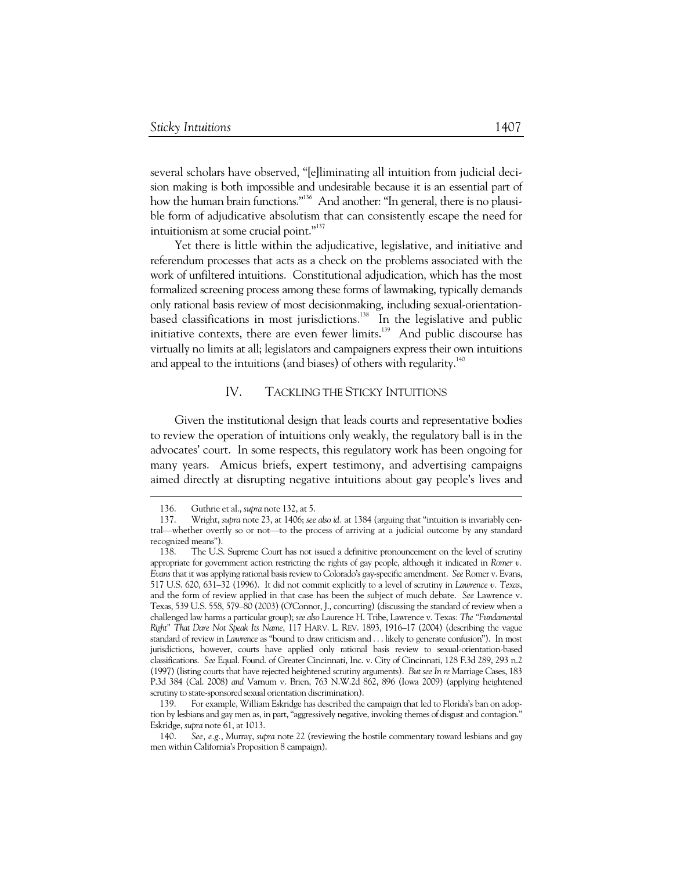several scholars have observed, "[e]liminating all intuition from judicial decision making is both impossible and undesirable because it is an essential part of how the human brain functions."<sup>136</sup> And another: "In general, there is no plausible form of adjudicative absolutism that can consistently escape the need for intuitionism at some crucial point."<sup>137</sup>

Yet there is little within the adjudicative, legislative, and initiative and referendum processes that acts as a check on the problems associated with the work of unfiltered intuitions. Constitutional adjudication, which has the most formalized screening process among these forms of lawmaking, typically demands only rational basis review of most decisionmaking, including sexual-orientationbased classifications in most jurisdictions.<sup>138</sup> In the legislative and public initiative contexts, there are even fewer limits.139 And public discourse has virtually no limits at all; legislators and campaigners express their own intuitions and appeal to the intuitions (and biases) of others with regularity.<sup>140</sup>

### IV. TACKLING THE STICKY INTUITIONS

Given the institutional design that leads courts and representative bodies to review the operation of intuitions only weakly, the regulatory ball is in the advocates' court. In some respects, this regulatory work has been ongoing for many years. Amicus briefs, expert testimony, and advertising campaigns aimed directly at disrupting negative intuitions about gay people's lives and

 <sup>136.</sup> Guthrie et al., *supra* note 132, at 5.

 <sup>137.</sup> Wright, *supra* note 23, at 1406; *see also id.* at 1384 (arguing that "intuition is invariably central—whether overtly so or not—to the process of arriving at a judicial outcome by any standard recognized means").

 <sup>138.</sup> The U.S. Supreme Court has not issued a definitive pronouncement on the level of scrutiny appropriate for government action restricting the rights of gay people, although it indicated in *Romer v. Evans* that it was applying rational basis review to Colorado's gay-specific amendment. *See* Romer v. Evans, 517 U.S. 620, 631–32 (1996). It did not commit explicitly to a level of scrutiny in *Lawrence v. Texas*, and the form of review applied in that case has been the subject of much debate. *See* Lawrence v. Texas, 539 U.S. 558, 579–80 (2003) (O'Connor, J., concurring) (discussing the standard of review when a challenged law harms a particular group); *see also* Laurence H. Tribe, Lawrence v. Texas*: The "Fundamental Right" That Dare Not Speak Its Name*, 117 HARV. L. REV. 1893, 1916–17 (2004) (describing the vague standard of review in *Lawrence* as "bound to draw criticism and . . . likely to generate confusion"). In most jurisdictions, however, courts have applied only rational basis review to sexual-orientation-based classifications. *See* Equal. Found. of Greater Cincinnati, Inc. v. City of Cincinnati, 128 F.3d 289, 293 n.2 (1997) (listing courts that have rejected heightened scrutiny arguments). *But see In re* Marriage Cases, 183 P.3d 384 (Cal. 2008) *and* Varnum v. Brien, 763 N.W.2d 862, 896 (Iowa 2009) (applying heightened scrutiny to state-sponsored sexual orientation discrimination).

 <sup>139.</sup> For example, William Eskridge has described the campaign that led to Florida's ban on adoption by lesbians and gay men as, in part, "aggressively negative, invoking themes of disgust and contagion." Eskridge, *supra* note 61, at 1013.

 <sup>140.</sup> *See, e.g.*, Murray, *supra* note 22 (reviewing the hostile commentary toward lesbians and gay men within California's Proposition 8 campaign).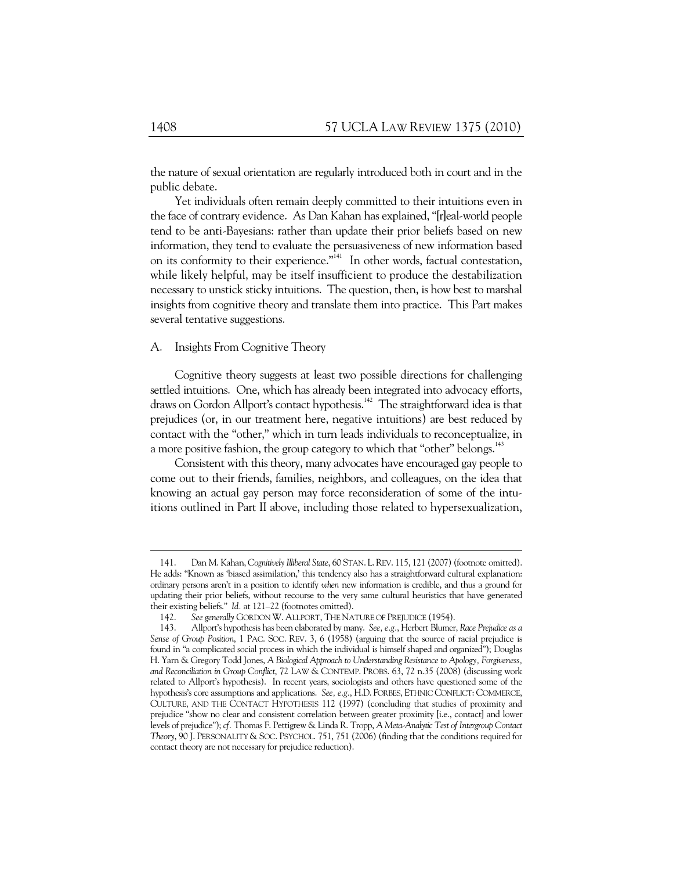the nature of sexual orientation are regularly introduced both in court and in the public debate.

Yet individuals often remain deeply committed to their intuitions even in the face of contrary evidence. As Dan Kahan has explained, "[r]eal-world people tend to be anti-Bayesians: rather than update their prior beliefs based on new information, they tend to evaluate the persuasiveness of new information based on its conformity to their experience."<sup>141</sup> In other words, factual contestation, while likely helpful, may be itself insufficient to produce the destabilization necessary to unstick sticky intuitions. The question, then, is how best to marshal insights from cognitive theory and translate them into practice. This Part makes several tentative suggestions.

### A. Insights From Cognitive Theory

Cognitive theory suggests at least two possible directions for challenging settled intuitions. One, which has already been integrated into advocacy efforts, draws on Gordon Allport's contact hypothesis.<sup>142</sup> The straightforward idea is that prejudices (or, in our treatment here, negative intuitions) are best reduced by contact with the "other," which in turn leads individuals to reconceptualize, in a more positive fashion, the group category to which that "other" belongs.<sup>143</sup>

Consistent with this theory, many advocates have encouraged gay people to come out to their friends, families, neighbors, and colleagues, on the idea that knowing an actual gay person may force reconsideration of some of the intuitions outlined in Part II above, including those related to hypersexualization,

 <sup>141.</sup> Dan M. Kahan, *Cognitively Illiberal State*, 60 STAN. L.REV. 115, 121 (2007) (footnote omitted). He adds: "Known as 'biased assimilation,' this tendency also has a straightforward cultural explanation: ordinary persons aren't in a position to identify *when* new information is credible, and thus a ground for updating their prior beliefs, without recourse to the very same cultural heuristics that have generated their existing beliefs." *Id.* at 121–22 (footnotes omitted).

 <sup>142.</sup> *See generally* GORDON W. ALLPORT, THE NATURE OF PREJUDICE (1954).

 <sup>143.</sup> Allport's hypothesis has been elaborated by many. *See, e.g.*, Herbert Blumer, *Race Prejudice as a Sense of Group Position*, 1 PAC. SOC. REV. 3, 6 (1958) (arguing that the source of racial prejudice is found in "a complicated social process in which the individual is himself shaped and organized"); Douglas H. Yarn & Gregory Todd Jones, *A Biological Approach to Understanding Resistance to Apology, Forgiveness, and Reconciliation in Group Conflict*, 72 LAW & CONTEMP. PROBS. 63, 72 n.35 (2008) (discussing work related to Allport's hypothesis). In recent years, sociologists and others have questioned some of the hypothesis's core assumptions and applications. *See, e.g.*, H.D. FORBES, ETHNIC CONFLICT: COMMERCE, CULTURE, AND THE CONTACT HYPOTHESIS 112 (1997) (concluding that studies of proximity and prejudice "show no clear and consistent correlation between greater proximity [i.e., contact] and lower levels of prejudice"); *cf.* Thomas F. Pettigrew & Linda R. Tropp, *A Meta-Analytic Test of Intergroup Contact Theory*, 90 J. PERSONALITY & SOC. PSYCHOL. 751, 751 (2006) (finding that the conditions required for contact theory are not necessary for prejudice reduction).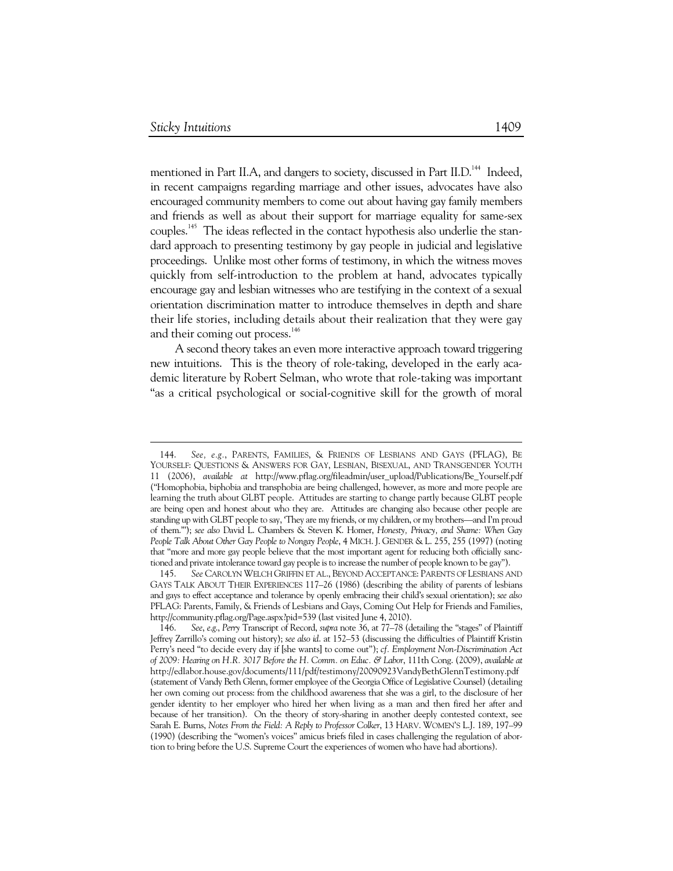-

mentioned in Part II.A, and dangers to society, discussed in Part II.D.<sup>144</sup> Indeed, in recent campaigns regarding marriage and other issues, advocates have also encouraged community members to come out about having gay family members and friends as well as about their support for marriage equality for same-sex couples.145 The ideas reflected in the contact hypothesis also underlie the standard approach to presenting testimony by gay people in judicial and legislative proceedings. Unlike most other forms of testimony, in which the witness moves quickly from self-introduction to the problem at hand, advocates typically encourage gay and lesbian witnesses who are testifying in the context of a sexual orientation discrimination matter to introduce themselves in depth and share their life stories, including details about their realization that they were gay and their coming out process.<sup>146</sup>

A second theory takes an even more interactive approach toward triggering new intuitions. This is the theory of role-taking, developed in the early academic literature by Robert Selman, who wrote that role-taking was important "as a critical psychological or social-cognitive skill for the growth of moral

 <sup>144.</sup> *See, e.g.*, PARENTS, FAMILIES, & FRIENDS OF LESBIANS AND GAYS (PFLAG), BE YOURSELF: QUESTIONS & ANSWERS FOR GAY, LESBIAN, BISEXUAL, AND TRANSGENDER YOUTH 11 (2006), *available at* http://www.pflag.org/fileadmin/user\_upload/Publications/Be\_Yourself.pdf ("Homophobia, biphobia and transphobia are being challenged, however, as more and more people are learning the truth about GLBT people. Attitudes are starting to change partly because GLBT people are being open and honest about who they are. Attitudes are changing also because other people are standing up with GLBT people to say, 'They are my friends, or my children, or my brothers—and I'm proud of them.'"); *see also* David L. Chambers & Steven K. Homer, *Honesty, Privacy, and Shame: When Gay People Talk About Other Gay People to Nongay People*, 4 MICH. J. GENDER & L. 255, 255 (1997) (noting that "more and more gay people believe that the most important agent for reducing both officially sanctioned and private intolerance toward gay people is to increase the number of people known to be gay").

 <sup>145.</sup> *See* CAROLYN WELCH GRIFFIN ET AL., BEYOND ACCEPTANCE: PARENTS OF LESBIANS AND GAYS TALK ABOUT THEIR EXPERIENCES 117–26 (1986) (describing the ability of parents of lesbians and gays to effect acceptance and tolerance by openly embracing their child's sexual orientation); *see also*  PFLAG: Parents, Family, & Friends of Lesbians and Gays, Coming Out Help for Friends and Families, http://community.pflag.org/Page.aspx?pid=539 (last visited June 4, 2010).

 <sup>146.</sup> *See*, *e*.*g*., *Perry* Transcript of Record, *supra* note 36, at 77–78 (detailing the "stages" of Plaintiff Jeffrey Zarrillo's coming out history); *see also id*. at 152–53 (discussing the difficulties of Plaintiff Kristin Perry's need "to decide every day if [she wants] to come out"); *cf. Employment Non-Discrimination Act of 2009: Hearing on H.R. 3017 Before the H. Comm. on Educ. & Labor*, 111th Cong. (2009), *available at* http://edlabor.house.gov/documents/111/pdf/testimony/20090923VandyBethGlennTestimony.pdf (statement of Vandy Beth Glenn, former employee of the Georgia Office of Legislative Counsel) (detailing her own coming out process: from the childhood awareness that she was a girl, to the disclosure of her gender identity to her employer who hired her when living as a man and then fired her after and because of her transition). On the theory of story-sharing in another deeply contested context, see Sarah E. Burns, *Notes From the Field: A Reply to Professor Colker*, 13 HARV. WOMEN'S L.J. 189, 197–99 (1990) (describing the "women's voices" amicus briefs filed in cases challenging the regulation of abortion to bring before the U.S. Supreme Court the experiences of women who have had abortions).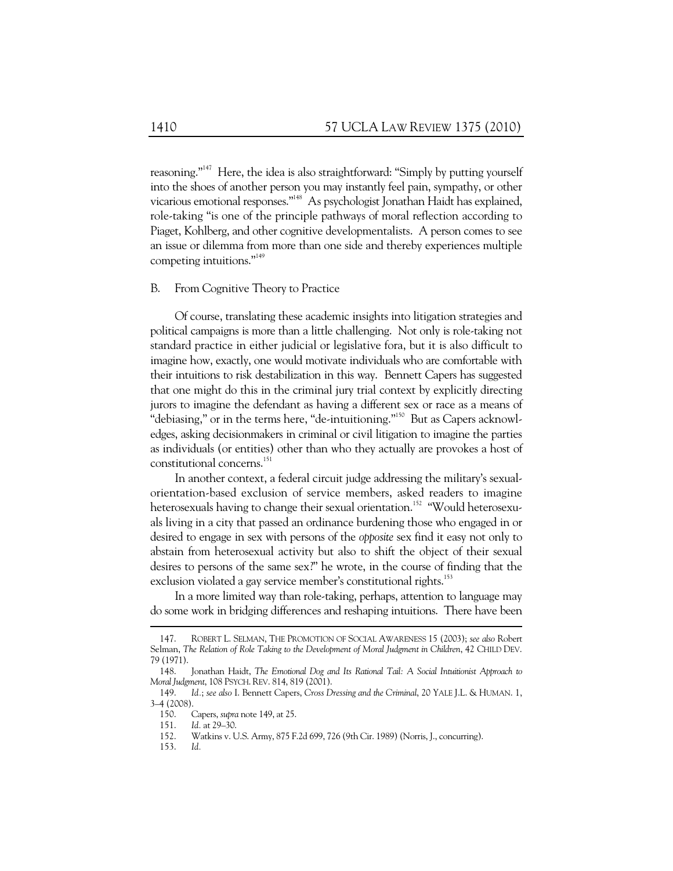reasoning."147 Here, the idea is also straightforward: "Simply by putting yourself into the shoes of another person you may instantly feel pain, sympathy, or other vicarious emotional responses."148 As psychologist Jonathan Haidt has explained, role-taking "is one of the principle pathways of moral reflection according to Piaget, Kohlberg, and other cognitive developmentalists. A person comes to see an issue or dilemma from more than one side and thereby experiences multiple competing intuitions."<sup>149</sup>

### B. From Cognitive Theory to Practice

Of course, translating these academic insights into litigation strategies and political campaigns is more than a little challenging. Not only is role-taking not standard practice in either judicial or legislative fora, but it is also difficult to imagine how, exactly, one would motivate individuals who are comfortable with their intuitions to risk destabilization in this way. Bennett Capers has suggested that one might do this in the criminal jury trial context by explicitly directing jurors to imagine the defendant as having a different sex or race as a means of "debiasing," or in the terms here, "de-intuitioning."<sup>150</sup> But as Capers acknowledges, asking decisionmakers in criminal or civil litigation to imagine the parties as individuals (or entities) other than who they actually are provokes a host of constitutional concerns.<sup>151</sup>

In another context, a federal circuit judge addressing the military's sexualorientation-based exclusion of service members, asked readers to imagine heterosexuals having to change their sexual orientation.<sup>152</sup> "Would heterosexuals living in a city that passed an ordinance burdening those who engaged in or desired to engage in sex with persons of the *opposite* sex find it easy not only to abstain from heterosexual activity but also to shift the object of their sexual desires to persons of the same sex?" he wrote, in the course of finding that the exclusion violated a gay service member's constitutional rights.<sup>153</sup>

In a more limited way than role-taking, perhaps, attention to language may do some work in bridging differences and reshaping intuitions. There have been

 <sup>147.</sup> ROBERT L. SELMAN, THE PROMOTION OF SOCIAL AWARENESS 15 (2003); *see also* Robert Selman, *The Relation of Role Taking to the Development of Moral Judgment in Children*, 42 CHILD DEV. 79 (1971).

 <sup>148.</sup> Jonathan Haidt, *The Emotional Dog and Its Rational Tail: A Social Intuitionist Approach to Moral Judgment*, 108 PSYCH. REV. 814, 819 (2001).

 <sup>149.</sup> *Id.*; *see also* I. Bennett Capers, *Cross Dressing and the Criminal*, 20 YALE J.L. & HUMAN. 1, 3–4 (2008).

 <sup>150.</sup> Capers, *supra* note 149, at 25.

 <sup>151.</sup> *Id.* at 29–30.

 <sup>152.</sup> Watkins v. U.S. Army, 875 F.2d 699, 726 (9th Cir. 1989) (Norris, J., concurring).

 <sup>153.</sup> *Id.*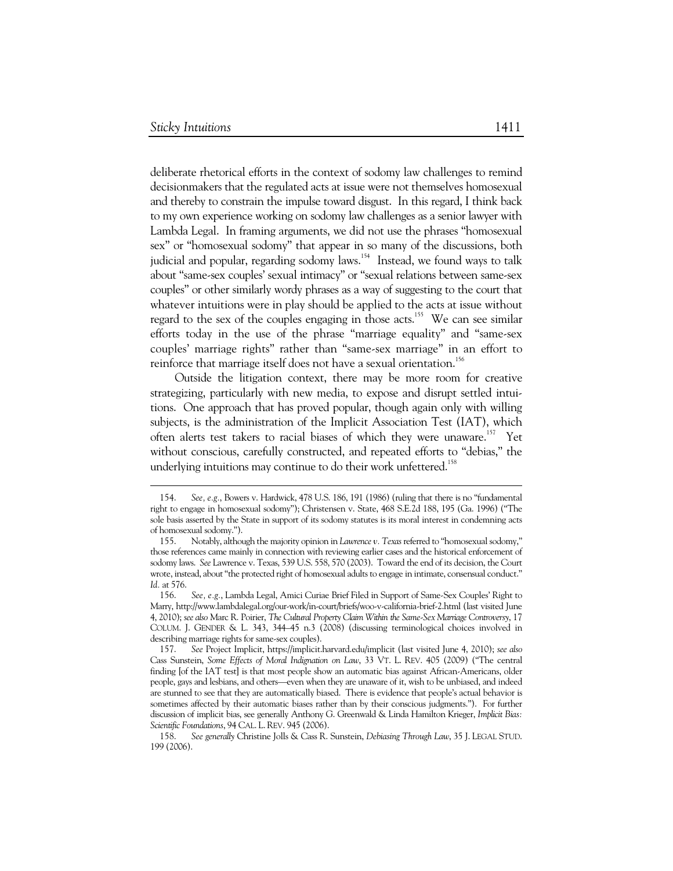$\overline{a}$ 

deliberate rhetorical efforts in the context of sodomy law challenges to remind decisionmakers that the regulated acts at issue were not themselves homosexual and thereby to constrain the impulse toward disgust. In this regard, I think back to my own experience working on sodomy law challenges as a senior lawyer with Lambda Legal. In framing arguments, we did not use the phrases "homosexual sex" or "homosexual sodomy" that appear in so many of the discussions, both judicial and popular, regarding sodomy laws.<sup>154</sup> Instead, we found ways to talk about "same-sex couples' sexual intimacy" or "sexual relations between same-sex couples" or other similarly wordy phrases as a way of suggesting to the court that whatever intuitions were in play should be applied to the acts at issue without regard to the sex of the couples engaging in those acts.<sup>155</sup> We can see similar efforts today in the use of the phrase "marriage equality" and "same-sex couples' marriage rights" rather than "same-sex marriage" in an effort to reinforce that marriage itself does not have a sexual orientation.<sup>156</sup>

Outside the litigation context, there may be more room for creative strategizing, particularly with new media, to expose and disrupt settled intuitions. One approach that has proved popular, though again only with willing subjects, is the administration of the Implicit Association Test (IAT), which often alerts test takers to racial biases of which they were unaware.<sup>157</sup> Yet without conscious, carefully constructed, and repeated efforts to "debias," the underlying intuitions may continue to do their work unfettered.<sup>158</sup>

 <sup>154.</sup> *See, e.g.*, Bowers v. Hardwick, 478 U.S. 186, 191 (1986) (ruling that there is no "fundamental right to engage in homosexual sodomy"); Christensen v. State, 468 S.E.2d 188, 195 (Ga. 1996) ("The sole basis asserted by the State in support of its sodomy statutes is its moral interest in condemning acts of homosexual sodomy.").

 <sup>155.</sup> Notably, although the majority opinion in *Lawrence v. Texas* referred to "homosexual sodomy," those references came mainly in connection with reviewing earlier cases and the historical enforcement of sodomy laws. *See* Lawrence v. Texas, 539 U.S. 558, 570 (2003). Toward the end of its decision, the Court wrote, instead, about "the protected right of homosexual adults to engage in intimate, consensual conduct." *Id.* at 576.

 <sup>156.</sup> *See, e.g.*, Lambda Legal, Amici Curiae Brief Filed in Support of Same-Sex Couples' Right to Marry, http://www.lambdalegal.org/our-work/in-court/briefs/woo-v-california-brief-2.html (last visited June 4, 2010); *see also* Marc R. Poirier, *The Cultural Property Claim Within the Same-Sex Marriage Controversy*, 17 COLUM. J. GENDER & L. 343, 344–45 n.3 (2008) (discussing terminological choices involved in describing marriage rights for same-sex couples).

 <sup>157.</sup> *See* Project Implicit, https://implicit.harvard.edu/implicit (last visited June 4, 2010); *see also* Cass Sunstein, *Some Effects of Moral Indignation on Law*, 33 VT. L. REV. 405 (2009) ("The central finding [of the IAT test] is that most people show an automatic bias against African-Americans, older people, gays and lesbians, and others—even when they are unaware of it, wish to be unbiased, and indeed are stunned to see that they are automatically biased. There is evidence that people's actual behavior is sometimes affected by their automatic biases rather than by their conscious judgments."). For further discussion of implicit bias, see generally Anthony G. Greenwald & Linda Hamilton Krieger, *Implicit Bias: Scientific Foundations*, 94 CAL. L.REV. 945 (2006).

 <sup>158.</sup> *See generally* Christine Jolls & Cass R. Sunstein, *Debiasing Through Law*, 35 J. LEGAL STUD. 199 (2006).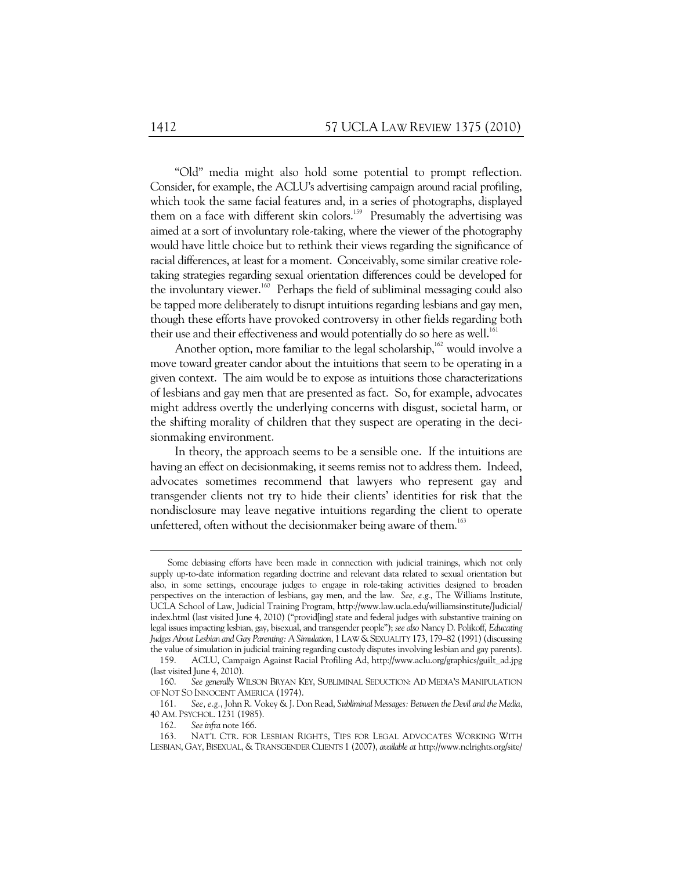"Old" media might also hold some potential to prompt reflection. Consider, for example, the ACLU's advertising campaign around racial profiling, which took the same facial features and, in a series of photographs, displayed them on a face with different skin colors.<sup>159</sup> Presumably the advertising was aimed at a sort of involuntary role-taking, where the viewer of the photography would have little choice but to rethink their views regarding the significance of racial differences, at least for a moment. Conceivably, some similar creative roletaking strategies regarding sexual orientation differences could be developed for the involuntary viewer.<sup>160</sup> Perhaps the field of subliminal messaging could also be tapped more deliberately to disrupt intuitions regarding lesbians and gay men, though these efforts have provoked controversy in other fields regarding both their use and their effectiveness and would potentially do so here as well.<sup>16</sup>

Another option, more familiar to the legal scholarship,  $162$  would involve a move toward greater candor about the intuitions that seem to be operating in a given context. The aim would be to expose as intuitions those characterizations of lesbians and gay men that are presented as fact. So, for example, advocates might address overtly the underlying concerns with disgust, societal harm, or the shifting morality of children that they suspect are operating in the decisionmaking environment.

In theory, the approach seems to be a sensible one. If the intuitions are having an effect on decisionmaking, it seems remiss not to address them. Indeed, advocates sometimes recommend that lawyers who represent gay and transgender clients not try to hide their clients' identities for risk that the nondisclosure may leave negative intuitions regarding the client to operate unfettered, often without the decisionmaker being aware of them.<sup>163</sup>

Some debiasing efforts have been made in connection with judicial trainings, which not only supply up-to-date information regarding doctrine and relevant data related to sexual orientation but also, in some settings, encourage judges to engage in role-taking activities designed to broaden perspectives on the interaction of lesbians, gay men, and the law. *See, e.g*., The Williams Institute, UCLA School of Law, Judicial Training Program, http://www.law.ucla.edu/williamsinstitute/Judicial/ index.html (last visited June 4, 2010) ("provid[ing] state and federal judges with substantive training on legal issues impacting lesbian, gay, bisexual, and transgender people"); *see also* Nancy D. Polikoff, *Educating Judges About Lesbian and Gay Parenting: A Simulation*, 1 LAW & SEXUALITY 173, 179–82 (1991) (discussing the value of simulation in judicial training regarding custody disputes involving lesbian and gay parents).

 <sup>159.</sup> ACLU, Campaign Against Racial Profiling Ad, http://www.aclu.org/graphics/guilt\_ad.jpg (last visited June 4, 2010).

 <sup>160.</sup> *See generally* WILSON BRYAN KEY, SUBLIMINAL SEDUCTION: AD MEDIA'S MANIPULATION OF NOT SO INNOCENT AMERICA (1974).

 <sup>161.</sup> *See, e.g.*, John R. Vokey & J. Don Read, *Subliminal Messages: Between the Devil and the Media*, 40 AM. PSYCHOL. 1231 (1985).

 <sup>162.</sup> *See infra* note 166.

 <sup>163.</sup> NAT'L CTR. FOR LESBIAN RIGHTS, TIPS FOR LEGAL ADVOCATES WORKING WITH LESBIAN, GAY, BISEXUAL, & TRANSGENDER CLIENTS 1 (2007), *available at* http://www.nclrights.org/site/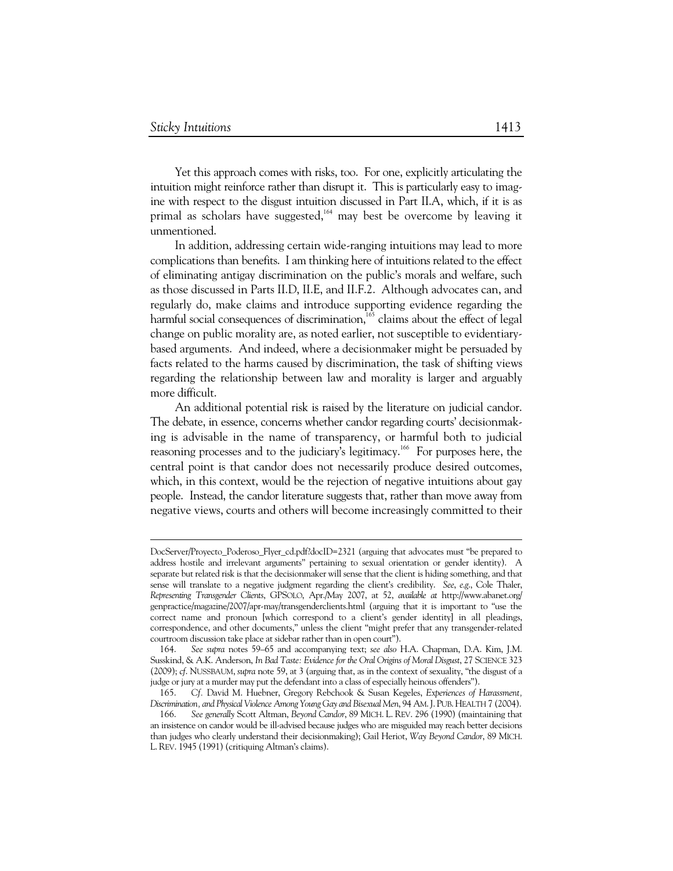-

Yet this approach comes with risks, too. For one, explicitly articulating the intuition might reinforce rather than disrupt it. This is particularly easy to imagine with respect to the disgust intuition discussed in Part II.A, which, if it is as primal as scholars have suggested,<sup>164</sup> may best be overcome by leaving it unmentioned.

In addition, addressing certain wide-ranging intuitions may lead to more complications than benefits. I am thinking here of intuitions related to the effect of eliminating antigay discrimination on the public's morals and welfare, such as those discussed in Parts II.D, II.E, and II.F.2. Although advocates can, and regularly do, make claims and introduce supporting evidence regarding the harmful social consequences of discrimination,<sup>165</sup> claims about the effect of legal change on public morality are, as noted earlier, not susceptible to evidentiarybased arguments. And indeed, where a decisionmaker might be persuaded by facts related to the harms caused by discrimination, the task of shifting views regarding the relationship between law and morality is larger and arguably more difficult.

An additional potential risk is raised by the literature on judicial candor. The debate, in essence, concerns whether candor regarding courts' decisionmaking is advisable in the name of transparency, or harmful both to judicial reasoning processes and to the judiciary's legitimacy.<sup>166</sup> For purposes here, the central point is that candor does not necessarily produce desired outcomes, which, in this context, would be the rejection of negative intuitions about gay people. Instead, the candor literature suggests that, rather than move away from negative views, courts and others will become increasingly committed to their

DocServer/Proyecto\_Poderoso\_Flyer\_cd.pdf?docID=2321 (arguing that advocates must "be prepared to address hostile and irrelevant arguments" pertaining to sexual orientation or gender identity). A separate but related risk is that the decisionmaker will sense that the client is hiding something, and that sense will translate to a negative judgment regarding the client's credibility. *See*, *e*.*g*., Cole Thaler, *Representing Transgender Clients*, GPSOLO, Apr./May 2007, at 52, *available at* http://www.abanet.org/ genpractice/magazine/2007/apr-may/transgenderclients.html (arguing that it is important to "use the correct name and pronoun [which correspond to a client's gender identity] in all pleadings, correspondence, and other documents," unless the client "might prefer that any transgender-related courtroom discussion take place at sidebar rather than in open court").

 <sup>164.</sup> *See supra* notes 59–65 and accompanying text; *see also* H.A. Chapman, D.A. Kim, J.M. Susskind, & A.K. Anderson, *In Bad Taste: Evidence for the Oral Origins of Moral Disgust*, 27 SCIENCE 323 (2009); *cf*. NUSSBAUM, *supra* note 59, at 3 (arguing that, as in the context of sexuality, "the disgust of a judge or jury at a murder may put the defendant into a class of especially heinous offenders").

 <sup>165.</sup> *Cf.* David M. Huebner, Gregory Rebchook & Susan Kegeles, *Experiences of Harassment, Discrimination, and Physical Violence Among Young Gay and Bisexual Men*, 94 AM.J. PUB.HEALTH 7 (2004).

 <sup>166.</sup> *See generally* Scott Altman, *Beyond Candor*, 89 MICH. L. REV. 296 (1990) (maintaining that an insistence on candor would be ill-advised because judges who are misguided may reach better decisions than judges who clearly understand their decisionmaking); Gail Heriot, *Way Beyond Candor*, 89 MICH. L.REV. 1945 (1991) (critiquing Altman's claims).